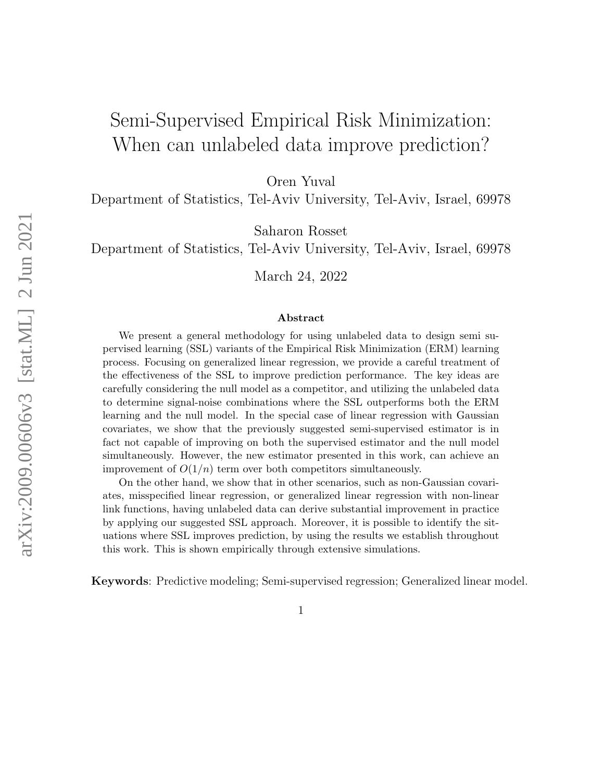# Semi-Supervised Empirical Risk Minimization: When can unlabeled data improve prediction?

Oren Yuval

Department of Statistics, Tel-Aviv University, Tel-Aviv, Israel, 69978

Saharon Rosset

Department of Statistics, Tel-Aviv University, Tel-Aviv, Israel, 69978

March 24, 2022

#### Abstract

We present a general methodology for using unlabeled data to design semi supervised learning (SSL) variants of the Empirical Risk Minimization (ERM) learning process. Focusing on generalized linear regression, we provide a careful treatment of the effectiveness of the SSL to improve prediction performance. The key ideas are carefully considering the null model as a competitor, and utilizing the unlabeled data to determine signal-noise combinations where the SSL outperforms both the ERM learning and the null model. In the special case of linear regression with Gaussian covariates, we show that the previously suggested semi-supervised estimator is in fact not capable of improving on both the supervised estimator and the null model simultaneously. However, the new estimator presented in this work, can achieve an improvement of  $O(1/n)$  term over both competitors simultaneously.

On the other hand, we show that in other scenarios, such as non-Gaussian covariates, misspecified linear regression, or generalized linear regression with non-linear link functions, having unlabeled data can derive substantial improvement in practice by applying our suggested SSL approach. Moreover, it is possible to identify the situations where SSL improves prediction, by using the results we establish throughout this work. This is shown empirically through extensive simulations.

Keywords: Predictive modeling; Semi-supervised regression; Generalized linear model.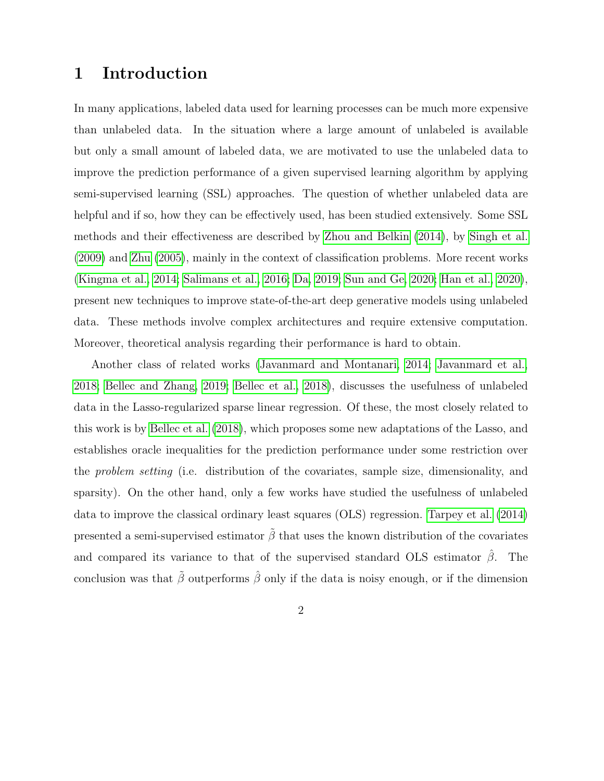## 1 Introduction

In many applications, labeled data used for learning processes can be much more expensive than unlabeled data. In the situation where a large amount of unlabeled is available but only a small amount of labeled data, we are motivated to use the unlabeled data to improve the prediction performance of a given supervised learning algorithm by applying semi-supervised learning (SSL) approaches. The question of whether unlabeled data are helpful and if so, how they can be effectively used, has been studied extensively. Some SSL methods and their effectiveness are described by [Zhou and Belkin](#page-35-0) [\(2014\)](#page-35-0), by [Singh et al.](#page-34-0) [\(2009\)](#page-34-0) and [Zhu](#page-35-1) [\(2005\)](#page-35-1), mainly in the context of classification problems. More recent works [\(Kingma et al., 2014;](#page-34-1) [Salimans et al., 2016;](#page-34-2) [Da, 2019;](#page-33-0) [Sun and Ge, 2020;](#page-35-2) [Han et al., 2020\)](#page-33-1), present new techniques to improve state-of-the-art deep generative models using unlabeled data. These methods involve complex architectures and require extensive computation. Moreover, theoretical analysis regarding their performance is hard to obtain.

Another class of related works [\(Javanmard and Montanari, 2014;](#page-33-2) [Javanmard et al.,](#page-34-3) [2018;](#page-34-3) [Bellec and Zhang, 2019;](#page-32-0) [Bellec et al., 2018\)](#page-32-1), discusses the usefulness of unlabeled data in the Lasso-regularized sparse linear regression. Of these, the most closely related to this work is by [Bellec et al.](#page-32-1) [\(2018\)](#page-32-1), which proposes some new adaptations of the Lasso, and establishes oracle inequalities for the prediction performance under some restriction over the problem setting (i.e. distribution of the covariates, sample size, dimensionality, and sparsity). On the other hand, only a few works have studied the usefulness of unlabeled data to improve the classical ordinary least squares (OLS) regression. [Tarpey et al.](#page-35-3) [\(2014\)](#page-35-3) presented a semi-supervised estimator  $\tilde{\beta}$  that uses the known distribution of the covariates and compared its variance to that of the supervised standard OLS estimator  $\hat{\beta}$ . The conclusion was that  $\tilde{\beta}$  outperforms  $\hat{\beta}$  only if the data is noisy enough, or if the dimension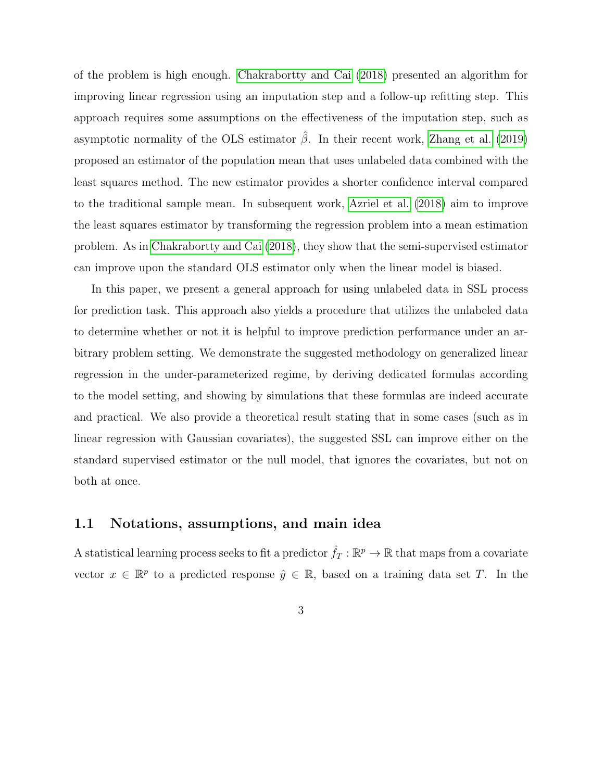of the problem is high enough. [Chakrabortty and Cai](#page-33-3) [\(2018\)](#page-33-3) presented an algorithm for improving linear regression using an imputation step and a follow-up refitting step. This approach requires some assumptions on the effectiveness of the imputation step, such as asymptotic normality of the OLS estimator  $\hat{\beta}$ . In their recent work, [Zhang et al.](#page-35-4) [\(2019\)](#page-35-4) proposed an estimator of the population mean that uses unlabeled data combined with the least squares method. The new estimator provides a shorter confidence interval compared to the traditional sample mean. In subsequent work, [Azriel et al.](#page-32-2) [\(2018\)](#page-32-2) aim to improve the least squares estimator by transforming the regression problem into a mean estimation problem. As in [Chakrabortty and Cai](#page-33-3) [\(2018\)](#page-33-3), they show that the semi-supervised estimator can improve upon the standard OLS estimator only when the linear model is biased.

In this paper, we present a general approach for using unlabeled data in SSL process for prediction task. This approach also yields a procedure that utilizes the unlabeled data to determine whether or not it is helpful to improve prediction performance under an arbitrary problem setting. We demonstrate the suggested methodology on generalized linear regression in the under-parameterized regime, by deriving dedicated formulas according to the model setting, and showing by simulations that these formulas are indeed accurate and practical. We also provide a theoretical result stating that in some cases (such as in linear regression with Gaussian covariates), the suggested SSL can improve either on the standard supervised estimator or the null model, that ignores the covariates, but not on both at once.

#### 1.1 Notations, assumptions, and main idea

A statistical learning process seeks to fit a predictor  $\hat{f}_T : \mathbb{R}^p \to \mathbb{R}$  that maps from a covariate vector  $x \in \mathbb{R}^p$  to a predicted response  $\hat{y} \in \mathbb{R}$ , based on a training data set T. In the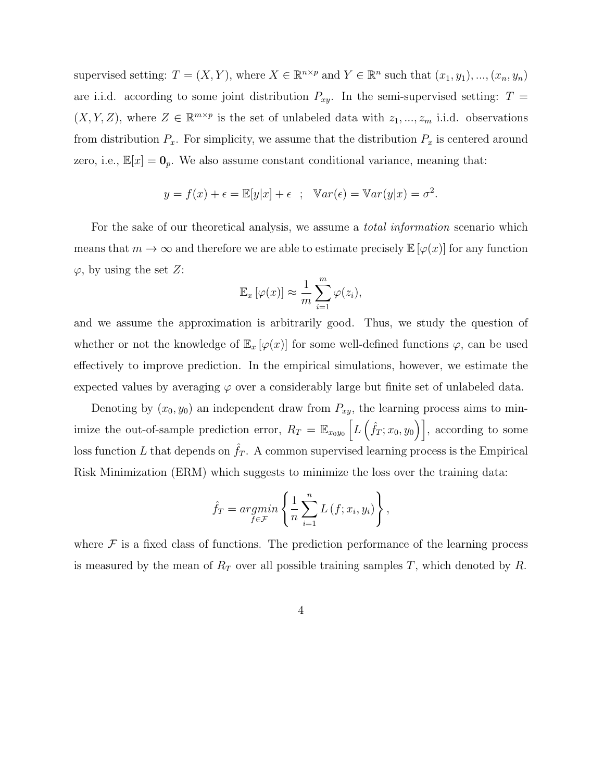supervised setting:  $T = (X, Y)$ , where  $X \in \mathbb{R}^{n \times p}$  and  $Y \in \mathbb{R}^n$  such that  $(x_1, y_1)$ , ...,  $(x_n, y_n)$ are i.i.d. according to some joint distribution  $P_{xy}$ . In the semi-supervised setting:  $T =$  $(X, Y, Z)$ , where  $Z \in \mathbb{R}^{m \times p}$  is the set of unlabeled data with  $z_1, ..., z_m$  i.i.d. observations from distribution  $P_x$ . For simplicity, we assume that the distribution  $P_x$  is centered around zero, i.e.,  $\mathbb{E}[x] = \mathbf{0}_p$ . We also assume constant conditional variance, meaning that:

$$
y = f(x) + \epsilon = \mathbb{E}[y|x] + \epsilon \quad ; \quad \mathbb{V}ar(\epsilon) = \mathbb{V}ar(y|x) = \sigma^2.
$$

For the sake of our theoretical analysis, we assume a *total information* scenario which means that  $m \to \infty$  and therefore we are able to estimate precisely  $\mathbb{E}[\varphi(x)]$  for any function  $\varphi$ , by using the set Z:

$$
\mathbb{E}_x[\varphi(x)] \approx \frac{1}{m} \sum_{i=1}^m \varphi(z_i),
$$

and we assume the approximation is arbitrarily good. Thus, we study the question of whether or not the knowledge of  $\mathbb{E}_x[\varphi(x)]$  for some well-defined functions  $\varphi$ , can be used effectively to improve prediction. In the empirical simulations, however, we estimate the expected values by averaging  $\varphi$  over a considerably large but finite set of unlabeled data.

Denoting by  $(x_0, y_0)$  an independent draw from  $P_{xy}$ , the learning process aims to minimize the out-of-sample prediction error,  $R_T = \mathbb{E}_{x_0y_0} \left[ L(\hat{f}_T; x_0, y_0) \right]$ , according to some loss function L that depends on  $f<sub>T</sub>$ . A common supervised learning process is the Empirical Risk Minimization (ERM) which suggests to minimize the loss over the training data:

$$
\hat{f}_T = \underset{f \in \mathcal{F}}{\operatorname{argmin}} \left\{ \frac{1}{n} \sum_{i=1}^n L(f; x_i, y_i) \right\},\,
$$

where  $\mathcal F$  is a fixed class of functions. The prediction performance of the learning process is measured by the mean of  $R_T$  over all possible training samples T, which denoted by R.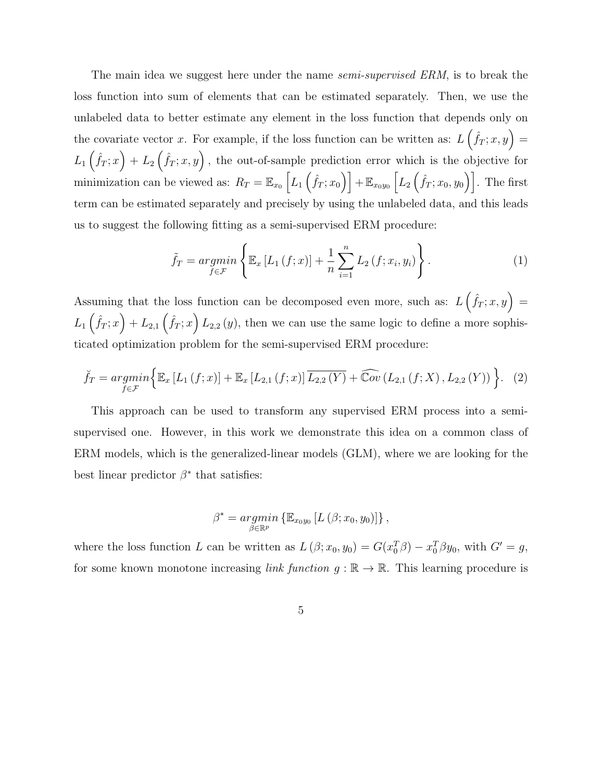The main idea we suggest here under the name *semi-supervised ERM*, is to break the loss function into sum of elements that can be estimated separately. Then, we use the unlabeled data to better estimate any element in the loss function that depends only on the covariate vector x. For example, if the loss function can be written as:  $L\left(f_T; x, y\right) =$  $L_1(\hat{f}_T; x) + L_2(\hat{f}_T; x, y)$ , the out-of-sample prediction error which is the objective for minimization can be viewed as:  $R_T = \mathbb{E}_{x_0}\left[L_1\left(\hat{f}_T; x_0\right)\right] + \mathbb{E}_{x_0y_0}\left[L_2\left(\hat{f}_T; x_0, y_0\right)\right]$ . The first term can be estimated separately and precisely by using the unlabeled data, and this leads us to suggest the following fitting as a semi-supervised ERM procedure:

<span id="page-4-0"></span>
$$
\tilde{f}_T = \underset{f \in \mathcal{F}}{\operatorname{argmin}} \left\{ \mathbb{E}_x \left[ L_1 \left( f; x \right) \right] + \frac{1}{n} \sum_{i=1}^n L_2 \left( f; x_i, y_i \right) \right\}. \tag{1}
$$

Assuming that the loss function can be decomposed even more, such as:  $L\left(f_T; x, y\right) =$  $L_1(\hat{f}_T; x) + L_{2,1}(\hat{f}_T; x) L_{2,2}(y)$ , then we can use the same logic to define a more sophisticated optimization problem for the semi-supervised ERM procedure:

$$
\breve{f}_T = \underset{f \in \mathcal{F}}{\operatorname{argmin}} \Big\{ \mathbb{E}_x \left[ L_1 \left( f; x \right) \right] + \mathbb{E}_x \left[ L_{2,1} \left( f; x \right) \right] \overline{L_{2,2} \left( Y \right)} + \widehat{\mathbb{C}ov} \left( L_{2,1} \left( f; X \right), L_{2,2} \left( Y \right) \right) \Big\}. \tag{2}
$$

This approach can be used to transform any supervised ERM process into a semisupervised one. However, in this work we demonstrate this idea on a common class of ERM models, which is the generalized-linear models (GLM), where we are looking for the best linear predictor  $\beta^*$  that satisfies:

$$
\beta^* = \underset{\beta \in \mathbb{R}^p}{\operatorname{argmin}} \left\{ \mathbb{E}_{x_0 y_0} \left[ L \left( \beta; x_0, y_0 \right) \right] \right\},\,
$$

where the loss function L can be written as  $L(\beta; x_0, y_0) = G(x_0^T \beta) - x_0^T \beta y_0$ , with  $G' = g$ , for some known monotone increasing *link function*  $g : \mathbb{R} \to \mathbb{R}$ . This learning procedure is

<span id="page-4-1"></span>
$$
\overline{5}
$$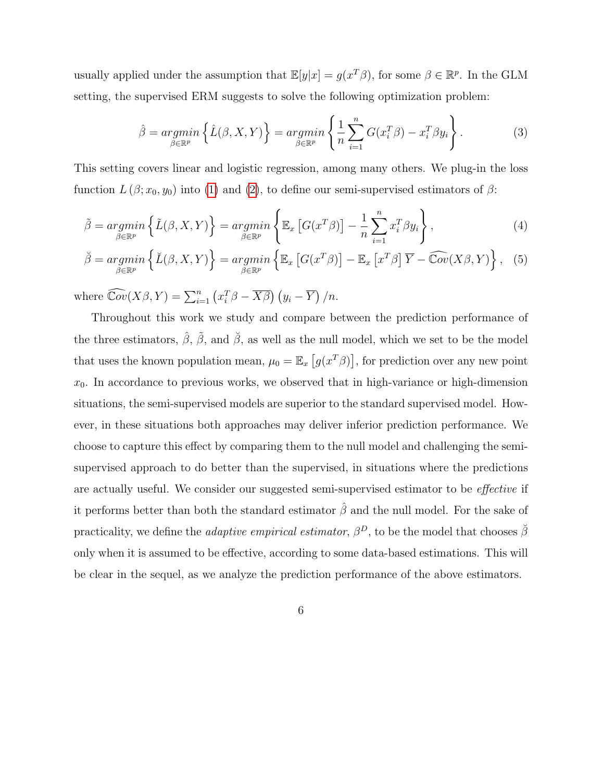usually applied under the assumption that  $\mathbb{E}[y|x] = g(x^T\beta)$ , for some  $\beta \in \mathbb{R}^p$ . In the GLM setting, the supervised ERM suggests to solve the following optimization problem:

<span id="page-5-2"></span><span id="page-5-1"></span><span id="page-5-0"></span>
$$
\hat{\beta} = \underset{\beta \in \mathbb{R}^p}{\operatorname{argmin}} \left\{ \hat{L}(\beta, X, Y) \right\} = \underset{\beta \in \mathbb{R}^p}{\operatorname{argmin}} \left\{ \frac{1}{n} \sum_{i=1}^n G(x_i^T \beta) - x_i^T \beta y_i \right\}.
$$
 (3)

This setting covers linear and logistic regression, among many others. We plug-in the loss function  $L(\beta; x_0, y_0)$  into [\(1\)](#page-4-0) and [\(2\)](#page-4-1), to define our semi-supervised estimators of  $\beta$ :

$$
\tilde{\beta} = \underset{\beta \in \mathbb{R}^p}{\operatorname{argmin}} \left\{ \tilde{L}(\beta, X, Y) \right\} = \underset{\beta \in \mathbb{R}^p}{\operatorname{argmin}} \left\{ \mathbb{E}_x \left[ G(x^T \beta) \right] - \frac{1}{n} \sum_{i=1}^n x_i^T \beta y_i \right\},\tag{4}
$$

$$
\breve{\beta} = \underset{\beta \in \mathbb{R}^p}{\operatorname{argmin}} \left\{ \breve{L}(\beta, X, Y) \right\} = \underset{\beta \in \mathbb{R}^p}{\operatorname{argmin}} \left\{ \mathbb{E}_x \left[ G(x^T \beta) \right] - \mathbb{E}_x \left[ x^T \beta \right] \overline{Y} - \widehat{\mathbb{C}ov}(X \beta, Y) \right\}, \tag{5}
$$

where  $\widehat{\mathbb{C}ov}(X\beta, Y) = \sum_{i=1}^{n} (x_i^T \beta - \overline{X\beta}) (y_i - \overline{Y})/n$ .

Throughout this work we study and compare between the prediction performance of the three estimators,  $\hat{\beta}$ ,  $\tilde{\beta}$ , and  $\tilde{\beta}$ , as well as the null model, which we set to be the model that uses the known population mean,  $\mu_0 = \mathbb{E}_x [g(x^T \beta)],$  for prediction over any new point  $x_0$ . In accordance to previous works, we observed that in high-variance or high-dimension situations, the semi-supervised models are superior to the standard supervised model. However, in these situations both approaches may deliver inferior prediction performance. We choose to capture this effect by comparing them to the null model and challenging the semisupervised approach to do better than the supervised, in situations where the predictions are actually useful. We consider our suggested semi-supervised estimator to be *effective* if it performs better than both the standard estimator  $\hat{\beta}$  and the null model. For the sake of practicality, we define the *adaptive empirical estimator*,  $\beta^D$ , to be the model that chooses  $\breve{\beta}$ only when it is assumed to be effective, according to some data-based estimations. This will be clear in the sequel, as we analyze the prediction performance of the above estimators.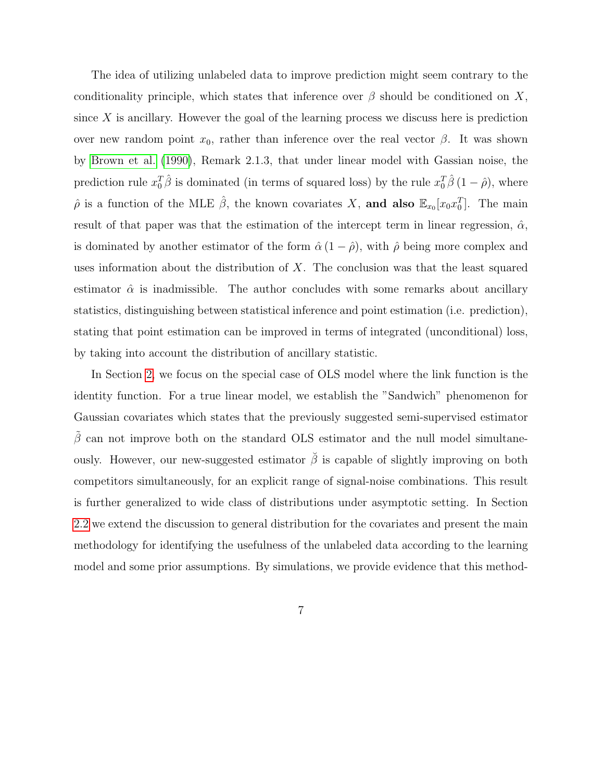The idea of utilizing unlabeled data to improve prediction might seem contrary to the conditionality principle, which states that inference over  $\beta$  should be conditioned on X, since  $X$  is ancillary. However the goal of the learning process we discuss here is prediction over new random point  $x_0$ , rather than inference over the real vector  $\beta$ . It was shown by [Brown et al.](#page-33-4) [\(1990\)](#page-33-4), Remark 2.1.3, that under linear model with Gassian noise, the prediction rule  $x_0^T\hat{\beta}$  is dominated (in terms of squared loss) by the rule  $x_0^T\hat{\beta}(1-\hat{\rho})$ , where  $\hat{\rho}$  is a function of the MLE  $\hat{\beta}$ , the known covariates X, and also  $\mathbb{E}_{x_0}[x_0x_0^T]$ . The main result of that paper was that the estimation of the intercept term in linear regression,  $\hat{\alpha}$ , is dominated by another estimator of the form  $\hat{\alpha}$  (1 –  $\hat{\rho}$ ), with  $\hat{\rho}$  being more complex and uses information about the distribution of  $X$ . The conclusion was that the least squared estimator  $\hat{\alpha}$  is inadmissible. The author concludes with some remarks about ancillary statistics, distinguishing between statistical inference and point estimation (i.e. prediction), stating that point estimation can be improved in terms of integrated (unconditional) loss, by taking into account the distribution of ancillary statistic.

In Section [2,](#page-7-0) we focus on the special case of OLS model where the link function is the identity function. For a true linear model, we establish the "Sandwich" phenomenon for Gaussian covariates which states that the previously suggested semi-supervised estimator  $\beta$  can not improve both on the standard OLS estimator and the null model simultaneously. However, our new-suggested estimator  $\check{\beta}$  is capable of slightly improving on both competitors simultaneously, for an explicit range of signal-noise combinations. This result is further generalized to wide class of distributions under asymptotic setting. In Section [2.2](#page-14-0) we extend the discussion to general distribution for the covariates and present the main methodology for identifying the usefulness of the unlabeled data according to the learning model and some prior assumptions. By simulations, we provide evidence that this method-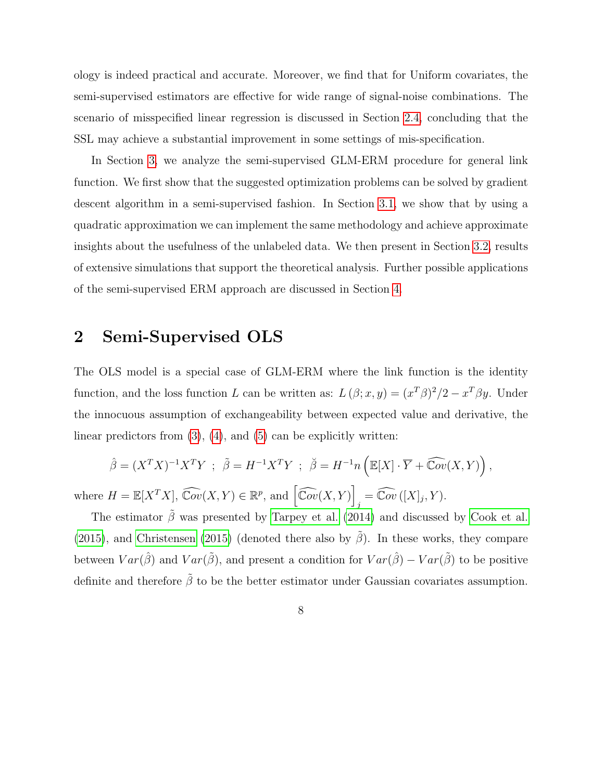ology is indeed practical and accurate. Moreover, we find that for Uniform covariates, the semi-supervised estimators are effective for wide range of signal-noise combinations. The scenario of misspecified linear regression is discussed in Section [2.4,](#page-18-0) concluding that the SSL may achieve a substantial improvement in some settings of mis-specification.

In Section [3,](#page-22-0) we analyze the semi-supervised GLM-ERM procedure for general link function. We first show that the suggested optimization problems can be solved by gradient descent algorithm in a semi-supervised fashion. In Section [3.1,](#page-24-0) we show that by using a quadratic approximation we can implement the same methodology and achieve approximate insights about the usefulness of the unlabeled data. We then present in Section [3.2,](#page-28-0) results of extensive simulations that support the theoretical analysis. Further possible applications of the semi-supervised ERM approach are discussed in Section [4.](#page-28-1)

## <span id="page-7-0"></span>2 Semi-Supervised OLS

The OLS model is a special case of GLM-ERM where the link function is the identity function, and the loss function L can be written as:  $L(\beta; x, y) = (x^T \beta)^2/2 - x^T \beta y$ . Under the innocuous assumption of exchangeability between expected value and derivative, the linear predictors from  $(3)$ ,  $(4)$ , and  $(5)$  can be explicitly written:

$$
\hat{\beta} = (X^T X)^{-1} X^T Y \; ; \; \tilde{\beta} = H^{-1} X^T Y \; ; \; \check{\beta} = H^{-1} n \left( \mathbb{E}[X] \cdot \overline{Y} + \widehat{\mathbb{C}ov}(X, Y) \right),
$$
  

$$
H = \mathbb{E}[X^T X] \; \widehat{\mathbb{C}ov}(X, Y) \in \mathbb{R}^n \text{ and } \widehat{\mathbb{C}ov}(X, Y) \qquad \widehat{\mathbb{C}ov}(X, Y) \in \widehat{\mathbb{C}ov}(X, Y).
$$

where  $H = \mathbb{E}[X^T X], \widehat{\mathbb{C}ov}(X, Y) \in \mathbb{R}^p$ , and  $\left[\widehat{\mathbb{C}ov}(X, Y)\right]$  $_j = \widehat{\mathbb{C}ov}([X]_j, Y).$ The estimator  $\tilde{\beta}$  was presented by [Tarpey et al.](#page-35-3) [\(2014\)](#page-35-3) and discussed by [Cook et al.](#page-33-5)

[\(2015\)](#page-33-6), and [Christensen](#page-33-6) (2015) (denoted there also by  $\tilde{\beta}$ ). In these works, they compare between  $Var(\hat{\beta})$  and  $Var(\tilde{\beta})$ , and present a condition for  $Var(\hat{\beta}) - Var(\tilde{\beta})$  to be positive definite and therefore  $\tilde{\beta}$  to be the better estimator under Gaussian covariates assumption.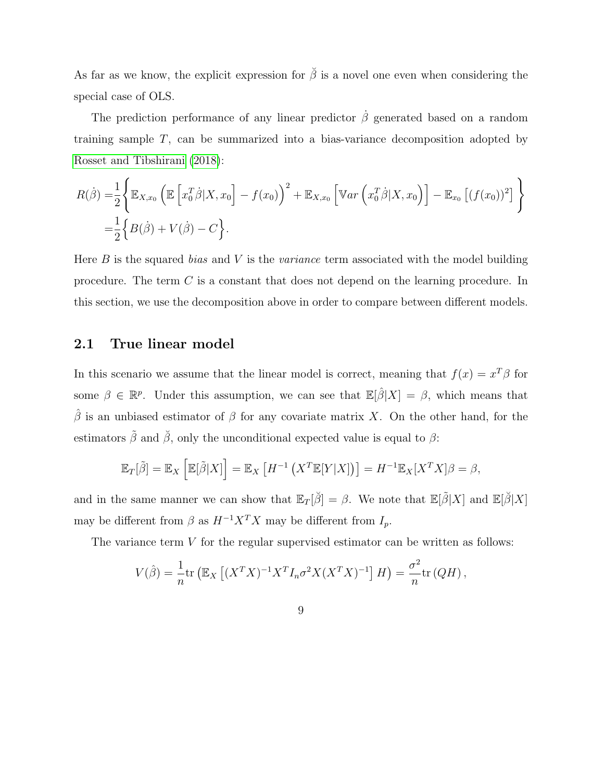As far as we know, the explicit expression for  $\check{\beta}$  is a novel one even when considering the special case of OLS.

The prediction performance of any linear predictor  $\dot{\beta}$  generated based on a random training sample T, can be summarized into a bias-variance decomposition adopted by [Rosset and Tibshirani](#page-34-4) [\(2018\)](#page-34-4):

$$
R(\dot{\beta}) = \frac{1}{2} \Biggl\{ \mathbb{E}_{X,x_0} \left( \mathbb{E} \left[ x_0^T \dot{\beta} | X, x_0 \right] - f(x_0) \right)^2 + \mathbb{E}_{X,x_0} \left[ \mathbb{V}ar \left( x_0^T \dot{\beta} | X, x_0 \right) \right] - \mathbb{E}_{x_0} \left[ (f(x_0))^2 \right] \Biggr\}
$$
  
=  $\frac{1}{2} \Biggl\{ B(\dot{\beta}) + V(\dot{\beta}) - C \Biggr\}.$ 

Here  $B$  is the squared *bias* and  $V$  is the *variance* term associated with the model building procedure. The term C is a constant that does not depend on the learning procedure. In this section, we use the decomposition above in order to compare between different models.

#### <span id="page-8-0"></span>2.1 True linear model

In this scenario we assume that the linear model is correct, meaning that  $f(x) = x^T \beta$  for some  $\beta \in \mathbb{R}^p$ . Under this assumption, we can see that  $\mathbb{E}[\hat{\beta}|X] = \beta$ , which means that  $\hat{\beta}$  is an unbiased estimator of  $\beta$  for any covariate matrix X. On the other hand, for the estimators  $\tilde{\beta}$  and  $\tilde{\beta}$ , only the unconditional expected value is equal to  $\beta$ :

$$
\mathbb{E}_T[\tilde{\beta}] = \mathbb{E}_X \left[ \mathbb{E}[\tilde{\beta}|X] \right] = \mathbb{E}_X \left[ H^{-1} \left( X^T \mathbb{E}[Y|X] \right) \right] = H^{-1} \mathbb{E}_X [X^T X] \beta = \beta,
$$

and in the same manner we can show that  $\mathbb{E}_{T}[\check{\beta}] = \beta$ . We note that  $\mathbb{E}[\tilde{\beta}|X]$  and  $\mathbb{E}[\check{\beta}|X]$ may be different from  $\beta$  as  $H^{-1}X^TX$  may be different from  $I_p$ .

The variance term V for the regular supervised estimator can be written as follows:

$$
V(\hat{\beta}) = \frac{1}{n} \text{tr} \left( \mathbb{E}_X \left[ (X^T X)^{-1} X^T I_n \sigma^2 X (X^T X)^{-1} \right] H \right) = \frac{\sigma^2}{n} \text{tr} \left( Q H \right),
$$

9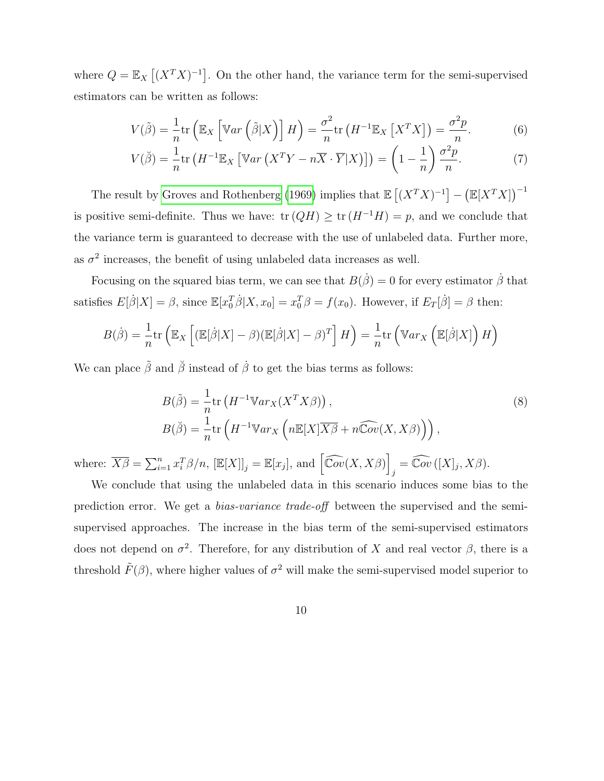where  $Q = \mathbb{E}_X[(X^T X)^{-1}]$ . On the other hand, the variance term for the semi-supervised estimators can be written as follows:

<span id="page-9-1"></span><span id="page-9-0"></span>
$$
V(\tilde{\beta}) = \frac{1}{n} \text{tr} \left( \mathbb{E}_X \left[ \mathbb{V}ar \left( \tilde{\beta} | X \right) \right] H \right) = \frac{\sigma^2}{n} \text{tr} \left( H^{-1} \mathbb{E}_X \left[ X^T X \right] \right) = \frac{\sigma^2 p}{n}.
$$
 (6)

$$
V(\breve{\beta}) = \frac{1}{n} \text{tr} \left( H^{-1} \mathbb{E}_X \left[ \mathbb{V}ar \left( X^T Y - n \overline{X} \cdot \overline{Y} | X \right) \right] \right) = \left( 1 - \frac{1}{n} \right) \frac{\sigma^2 p}{n}.
$$
 (7)

The result by [Groves and Rothenberg](#page-33-7) [\(1969\)](#page-33-7) implies that  $\mathbb{E}[(X^TX)^{-1}] - (\mathbb{E}[X^TX])^{-1}$ is positive semi-definite. Thus we have:  $tr(QH) \ge tr(H^{-1}H) = p$ , and we conclude that the variance term is guaranteed to decrease with the use of unlabeled data. Further more, as  $\sigma^2$  increases, the benefit of using unlabeled data increases as well.

Focusing on the squared bias term, we can see that  $B(\dot{\beta}) = 0$  for every estimator  $\dot{\beta}$  that satisfies  $E[\dot{\beta}|X] = \beta$ , since  $\mathbb{E}[x_0^T \dot{\beta}|X, x_0] = x_0^T \beta = f(x_0)$ . However, if  $E_T[\dot{\beta}] = \beta$  then:

$$
B(\dot{\beta}) = \frac{1}{n} \text{tr} \left( \mathbb{E}_X \left[ (\mathbb{E}[\dot{\beta}|X] - \beta)(\mathbb{E}[\dot{\beta}|X] - \beta)^T \right] H \right) = \frac{1}{n} \text{tr} \left( \mathbb{V}ar_X \left( \mathbb{E}[\dot{\beta}|X] \right) H \right)
$$

We can place  $\tilde{\beta}$  and  $\tilde{\beta}$  instead of  $\dot{\beta}$  to get the bias terms as follows:

<span id="page-9-2"></span>
$$
B(\tilde{\beta}) = \frac{1}{n} \text{tr} \left( H^{-1} \mathbb{V}ar_X(X^TX\beta) \right),
$$
  
\n
$$
B(\check{\beta}) = \frac{1}{n} \text{tr} \left( H^{-1} \mathbb{V}ar_X \left( n \mathbb{E}[X] \overline{X\beta} + n \widehat{\mathbb{C}ov}(X, X\beta) \right) \right),
$$
\n(8)

where:  $\overline{X\beta} = \sum_{i=1}^n x_i^T \beta/n$ ,  $[\mathbb{E}[X]]_j = \mathbb{E}[x_j]$ , and  $\left[\widehat{\mathbb{C}ov}(X, X\beta)\right]$  $_j = \widehat{\mathbb{C}ov} ([X]_j, X\beta).$ 

We conclude that using the unlabeled data in this scenario induces some bias to the prediction error. We get a bias-variance trade-off between the supervised and the semisupervised approaches. The increase in the bias term of the semi-supervised estimators does not depend on  $\sigma^2$ . Therefore, for any distribution of X and real vector  $\beta$ , there is a threshold  $\tilde{F}(\beta)$ , where higher values of  $\sigma^2$  will make the semi-supervised model superior to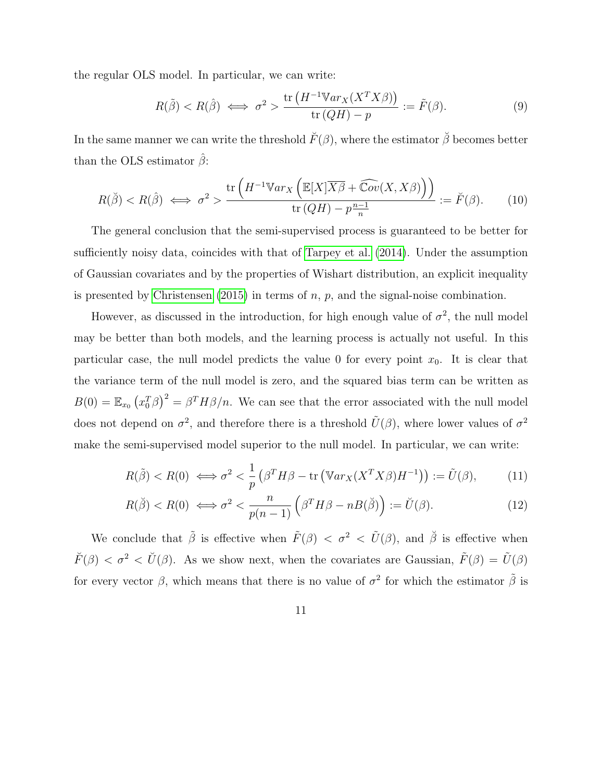the regular OLS model. In particular, we can write:

<span id="page-10-1"></span><span id="page-10-0"></span>
$$
R(\tilde{\beta}) < R(\hat{\beta}) \iff \sigma^2 > \frac{\text{tr}\left(H^{-1}\mathbb{V}ar_X(X^TX\beta)\right)}{\text{tr}\left(QH\right) - p} := \tilde{F}(\beta). \tag{9}
$$

In the same manner we can write the threshold  $\breve{F}(\beta)$ , where the estimator  $\breve{\beta}$  becomes better than the OLS estimator  $\beta$ :

$$
R(\tilde{\beta}) < R(\hat{\beta}) \iff \sigma^2 > \frac{\text{tr}\left(H^{-1} \mathbb{V}ar_X\left(\mathbb{E}[X]\overline{X\beta} + \widehat{\mathbb{C}ov}(X, X\beta)\right)\right)}{\text{tr}\left(QH\right) - p\frac{n-1}{n}} := \breve{F}(\beta). \tag{10}
$$

The general conclusion that the semi-supervised process is guaranteed to be better for sufficiently noisy data, coincides with that of [Tarpey et al.](#page-35-3) [\(2014\)](#page-35-3). Under the assumption of Gaussian covariates and by the properties of Wishart distribution, an explicit inequality is presented by [Christensen](#page-33-6)  $(2015)$  in terms of n, p, and the signal-noise combination.

However, as discussed in the introduction, for high enough value of  $\sigma^2$ , the null model may be better than both models, and the learning process is actually not useful. In this particular case, the null model predicts the value 0 for every point  $x_0$ . It is clear that the variance term of the null model is zero, and the squared bias term can be written as  $B(0) = \mathbb{E}_{x_0} (x_0^T \beta)^2 = \beta^T H \beta/n$ . We can see that the error associated with the null model does not depend on  $\sigma^2$ , and therefore there is a threshold  $\tilde{U}(\beta)$ , where lower values of  $\sigma^2$ make the semi-supervised model superior to the null model. In particular, we can write:

$$
R(\tilde{\beta}) < R(0) \iff \sigma^2 < \frac{1}{p} \left( \beta^T H \beta - \text{tr} \left( \mathbb{V}ar_X(X^T X \beta) H^{-1} \right) \right) := \tilde{U}(\beta),\tag{11}
$$

<span id="page-10-2"></span>
$$
R(\breve{\beta}) < R(0) \iff \sigma^2 < \frac{n}{p(n-1)} \left( \beta^T H \beta - n \beta(\breve{\beta}) \right) := \breve{U}(\beta). \tag{12}
$$

We conclude that  $\tilde{\beta}$  is effective when  $\tilde{F}(\beta) < \sigma^2 < \tilde{U}(\beta)$ , and  $\tilde{\beta}$  is effective when  $\check{F}(\beta) < \sigma^2 < \check{U}(\beta)$ . As we show next, when the covariates are Gaussian,  $\tilde{F}(\beta) = \tilde{U}(\beta)$ for every vector  $\beta$ , which means that there is no value of  $\sigma^2$  for which the estimator  $\tilde{\beta}$  is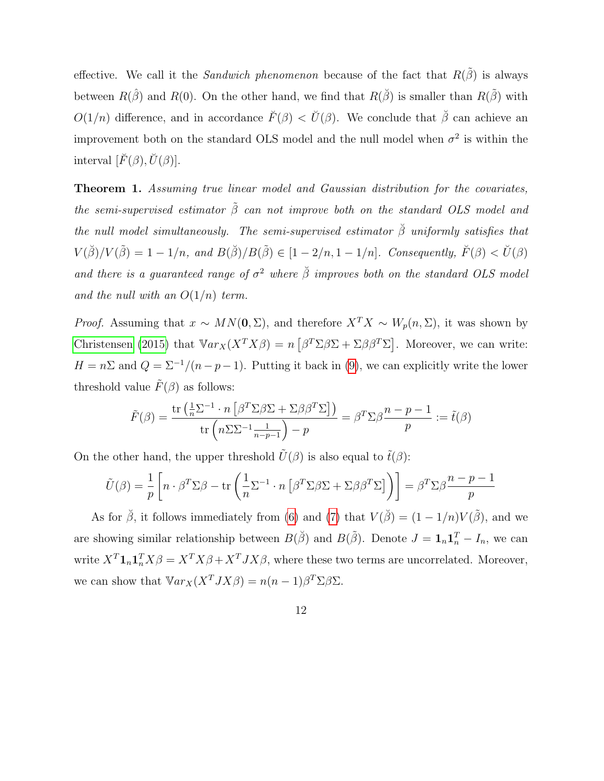effective. We call it the Sandwich phenomenon because of the fact that  $R(\tilde{\beta})$  is always between  $R(\hat{\beta})$  and  $R(0)$ . On the other hand, we find that  $R(\check{\beta})$  is smaller than  $R(\check{\beta})$  with  $O(1/n)$  difference, and in accordance  $\check{F}(\beta) < \check{U}(\beta)$ . We conclude that  $\check{\beta}$  can achieve an improvement both on the standard OLS model and the null model when  $\sigma^2$  is within the interval  $[\check{F}(\beta), \check{U}(\beta)].$ 

<span id="page-11-0"></span>Theorem 1. Assuming true linear model and Gaussian distribution for the covariates, the semi-supervised estimator  $\tilde{\beta}$  can not improve both on the standard OLS model and the null model simultaneously. The semi-supervised estimator  $\check{\beta}$  uniformly satisfies that  $V(\check{\beta})/V(\tilde{\beta}) = 1 - 1/n$ , and  $B(\check{\beta})/B(\tilde{\beta}) \in [1 - 2/n, 1 - 1/n]$ . Consequently,  $\check{F}(\beta) < \check{U}(\beta)$ and there is a guaranteed range of  $\sigma^2$  where  $\breve{\beta}$  improves both on the standard OLS model and the null with an  $O(1/n)$  term.

*Proof.* Assuming that  $x \sim MN(0, \Sigma)$ , and therefore  $X^TX \sim W_p(n, \Sigma)$ , it was shown by [Christensen](#page-33-6) [\(2015\)](#page-33-6) that  $\mathbb{V}ar_X(X^TX\beta) = n\left[\beta^T\Sigma\beta\Sigma + \Sigma\beta\beta^T\Sigma\right]$ . Moreover, we can write:  $H = n\Sigma$  and  $Q = \Sigma^{-1}/(n-p-1)$ . Putting it back in [\(9\)](#page-10-0), we can explicitly write the lower threshold value  $\tilde{F}(\beta)$  as follows:

$$
\tilde{F}(\beta) = \frac{\text{tr}\left(\frac{1}{n}\sum_{1} n\left[\beta^T \Sigma \beta \Sigma + \Sigma \beta \beta^T \Sigma\right]\right)}{\text{tr}\left(n\Sigma \Sigma^{-1} \frac{1}{n-p-1}\right) - p} = \beta^T \Sigma \beta \frac{n-p-1}{p} := \tilde{t}(\beta)
$$

On the other hand, the upper threshold  $\tilde{U}(\beta)$  is also equal to  $\tilde{t}(\beta)$ :

$$
\tilde{U}(\beta) = \frac{1}{p} \left[ n \cdot \beta^T \Sigma \beta - \text{tr} \left( \frac{1}{n} \Sigma^{-1} \cdot n \left[ \beta^T \Sigma \beta \Sigma + \Sigma \beta \beta^T \Sigma \right] \right) \right] = \beta^T \Sigma \beta \frac{n-p-1}{p}
$$

As for  $\check{\beta}$ , it follows immediately from [\(6\)](#page-9-0) and [\(7\)](#page-9-1) that  $V(\check{\beta}) = (1 - 1/n)V(\tilde{\beta})$ , and we are showing similar relationship between  $B(\check{\beta})$  and  $B(\tilde{\beta})$ . Denote  $J = \mathbf{1}_n \mathbf{1}_n^T - I_n$ , we can write  $X^T \mathbf{1}_n \mathbf{1}_n^T X \beta = X^T X \beta + X^T J X \beta$ , where these two terms are uncorrelated. Moreover, we can show that  $\mathbb{V}ar_X(X^T J X\beta) = n(n-1)\beta^T \Sigma \beta \Sigma$ .

12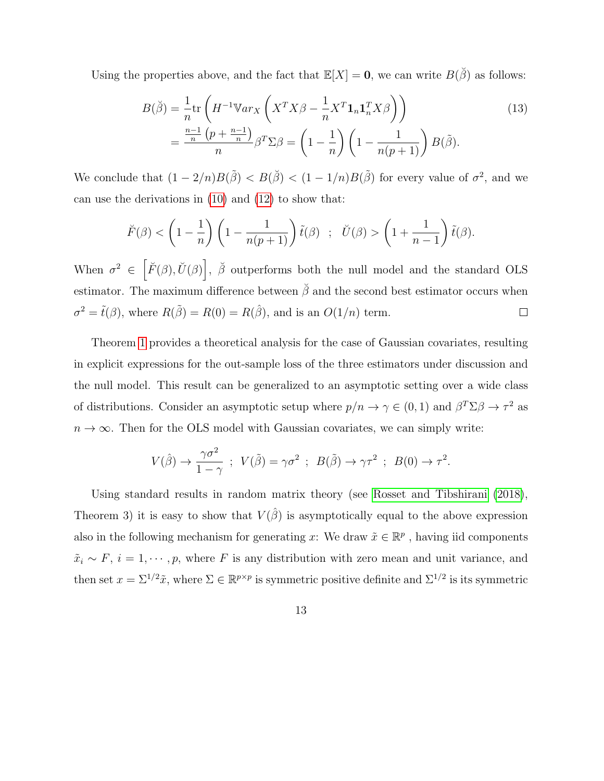Using the properties above, and the fact that  $\mathbb{E}[X] = 0$ , we can write  $B(\check{\beta})$  as follows:

<span id="page-12-0"></span>
$$
B(\check{\beta}) = \frac{1}{n} \text{tr} \left( H^{-1} \mathbb{V}ar_X \left( X^T X \beta - \frac{1}{n} X^T \mathbf{1}_n \mathbf{1}_n^T X \beta \right) \right)
$$
  
= 
$$
\frac{\frac{n-1}{n} \left( p + \frac{n-1}{n} \right)}{n} \beta^T \Sigma \beta = \left( 1 - \frac{1}{n} \right) \left( 1 - \frac{1}{n(p+1)} \right) B(\check{\beta}).
$$
 (13)

We conclude that  $(1 - 2/n)B(\tilde{\beta}) < B(\check{\beta}) < (1 - 1/n)B(\tilde{\beta})$  for every value of  $\sigma^2$ , and we can use the derivations in [\(10\)](#page-10-1) and [\(12\)](#page-10-2) to show that:

$$
\breve{F}(\beta) < \left(1 - \frac{1}{n}\right) \left(1 - \frac{1}{n(p+1)}\right) \tilde{t}(\beta) \quad ; \quad \breve{U}(\beta) > \left(1 + \frac{1}{n-1}\right) \tilde{t}(\beta).
$$

When  $\sigma^2 \in \left[ \tilde{F}(\beta), \tilde{U}(\beta) \right], \ \tilde{\beta}$  outperforms both the null model and the standard OLS estimator. The maximum difference between  $\check{\beta}$  and the second best estimator occurs when  $\sigma^2 = \tilde{t}(\beta)$ , where  $R(\tilde{\beta}) = R(0) = R(\hat{\beta})$ , and is an  $O(1/n)$  term.  $\Box$ 

Theorem [1](#page-11-0) provides a theoretical analysis for the case of Gaussian covariates, resulting in explicit expressions for the out-sample loss of the three estimators under discussion and the null model. This result can be generalized to an asymptotic setting over a wide class of distributions. Consider an asymptotic setup where  $p/n \to \gamma \in (0,1)$  and  $\beta^T \Sigma \beta \to \tau^2$  as  $n \to \infty$ . Then for the OLS model with Gaussian covariates, we can simply write:

$$
V(\hat{\beta}) \to \frac{\gamma \sigma^2}{1 - \gamma} \ ; \ V(\tilde{\beta}) = \gamma \sigma^2 \ ; \ B(\tilde{\beta}) \to \gamma \tau^2 \ ; \ B(0) \to \tau^2.
$$

Using standard results in random matrix theory (see [Rosset and Tibshirani](#page-34-4) [\(2018\)](#page-34-4), Theorem 3) it is easy to show that  $V(\hat{\beta})$  is asymptotically equal to the above expression also in the following mechanism for generating x: We draw  $\tilde{x} \in \mathbb{R}^p$ , having iid components  $\tilde{x}_i \sim F$ ,  $i = 1, \dots, p$ , where F is any distribution with zero mean and unit variance, and then set  $x = \Sigma^{1/2}\tilde{x}$ , where  $\Sigma \in \mathbb{R}^{p \times p}$  is symmetric positive definite and  $\Sigma^{1/2}$  is its symmetric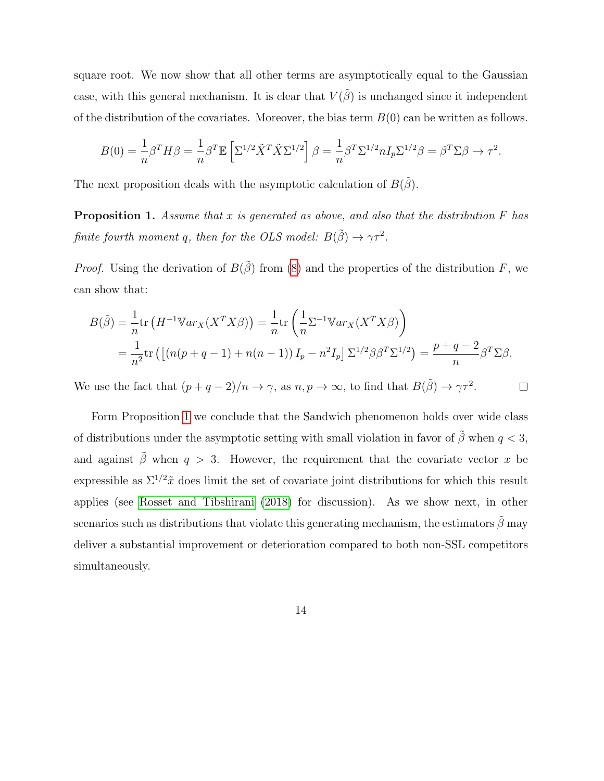square root. We now show that all other terms are asymptotically equal to the Gaussian case, with this general mechanism. It is clear that  $V(\tilde{\beta})$  is unchanged since it independent of the distribution of the covariates. Moreover, the bias term  $B(0)$  can be written as follows.

$$
B(0) = \frac{1}{n}\beta^T H \beta = \frac{1}{n}\beta^T \mathbb{E}\left[\Sigma^{1/2} \tilde{X}^T \tilde{X} \Sigma^{1/2}\right] \beta = \frac{1}{n}\beta^T \Sigma^{1/2} n I_p \Sigma^{1/2} \beta = \beta^T \Sigma \beta \to \tau^2.
$$

The next proposition deals with the asymptotic calculation of  $B(\tilde{\beta})$ .

<span id="page-13-0"></span>**Proposition 1.** Assume that x is generated as above, and also that the distribution  $F$  has finite fourth moment q, then for the OLS model:  $B(\tilde{\beta}) \to \gamma \tau^2$ .

*Proof.* Using the derivation of  $B(\tilde{\beta})$  from [\(8\)](#page-9-2) and the properties of the distribution F, we can show that:

$$
B(\tilde{\beta}) = \frac{1}{n} \text{tr} \left( H^{-1} \mathbb{V}ar_X(X^TX\beta) \right) = \frac{1}{n} \text{tr} \left( \frac{1}{n} \Sigma^{-1} \mathbb{V}ar_X(X^TX\beta) \right)
$$
  
= 
$$
\frac{1}{n^2} \text{tr} \left( \left[ \left( n(p+q-1) + n(n-1) \right) I_p - n^2 I_p \right] \Sigma^{1/2} \beta \beta^T \Sigma^{1/2} \right) = \frac{p+q-2}{n} \beta^T \Sigma \beta.
$$

We use the fact that  $(p+q-2)/n \to \gamma$ , as  $n, p \to \infty$ , to find that  $B(\tilde{\beta}) \to \gamma \tau^2$ .  $\Box$ 

Form Proposition [1](#page-13-0) we conclude that the Sandwich phenomenon holds over wide class of distributions under the asymptotic setting with small violation in favor of  $\tilde{\beta}$  when  $q < 3$ , and against  $\tilde{\beta}$  when  $q > 3$ . However, the requirement that the covariate vector x be expressible as  $\Sigma^{1/2}\tilde{x}$  does limit the set of covariate joint distributions for which this result applies (see [Rosset and Tibshirani](#page-34-4) [\(2018\)](#page-34-4) for discussion). As we show next, in other scenarios such as distributions that violate this generating mechanism, the estimators  $\hat{\beta}$  may deliver a substantial improvement or deterioration compared to both non-SSL competitors simultaneously.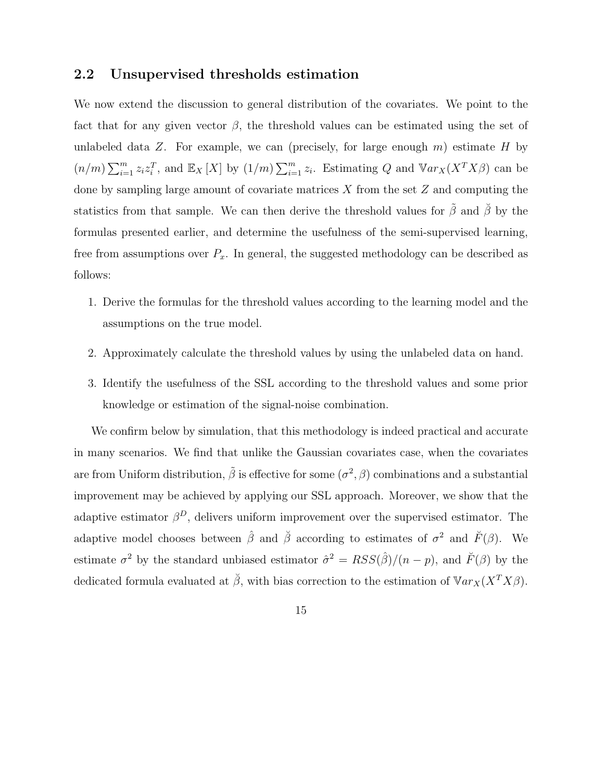#### <span id="page-14-0"></span>2.2 Unsupervised thresholds estimation

We now extend the discussion to general distribution of the covariates. We point to the fact that for any given vector  $\beta$ , the threshold values can be estimated using the set of unlabeled data Z. For example, we can (precisely, for large enough  $m$ ) estimate H by  $(n/m)\sum_{i=1}^{m}z_{i}z_{i}^{T}$ , and  $\mathbb{E}_{X}[X]$  by  $(1/m)\sum_{i=1}^{m}z_{i}$ . Estimating Q and  $\mathbb{V}ar_{X}(X^{T}X\beta)$  can be done by sampling large amount of covariate matrices  $X$  from the set  $Z$  and computing the statistics from that sample. We can then derive the threshold values for  $\tilde{\beta}$  and  $\tilde{\beta}$  by the formulas presented earlier, and determine the usefulness of the semi-supervised learning, free from assumptions over  $P_x$ . In general, the suggested methodology can be described as follows:

- 1. Derive the formulas for the threshold values according to the learning model and the assumptions on the true model.
- 2. Approximately calculate the threshold values by using the unlabeled data on hand.
- 3. Identify the usefulness of the SSL according to the threshold values and some prior knowledge or estimation of the signal-noise combination.

We confirm below by simulation, that this methodology is indeed practical and accurate in many scenarios. We find that unlike the Gaussian covariates case, when the covariates are from Uniform distribution,  $\tilde{\beta}$  is effective for some  $(\sigma^2, \beta)$  combinations and a substantial improvement may be achieved by applying our SSL approach. Moreover, we show that the adaptive estimator  $\beta^D$ , delivers uniform improvement over the supervised estimator. The adaptive model chooses between  $\hat{\beta}$  and  $\check{\beta}$  according to estimates of  $\sigma^2$  and  $\check{F}(\beta)$ . We estimate  $\sigma^2$  by the standard unbiased estimator  $\hat{\sigma}^2 = RSS(\hat{\beta})/(n-p)$ , and  $\tilde{F}(\beta)$  by the dedicated formula evaluated at  $\check{\beta}$ , with bias correction to the estimation of  $\mathbb{V}ar_X(X^TX\beta)$ .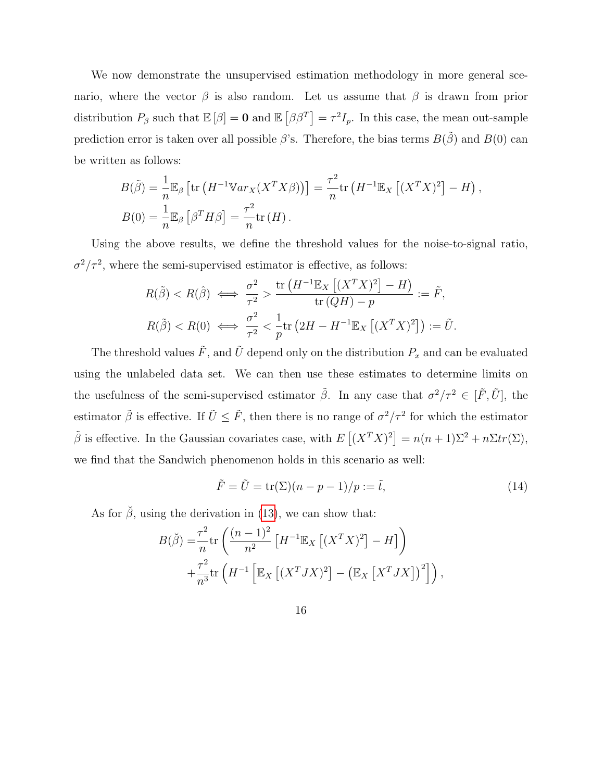We now demonstrate the unsupervised estimation methodology in more general scenario, where the vector  $\beta$  is also random. Let us assume that  $\beta$  is drawn from prior distribution  $P_\beta$  such that  $\mathbb{E}[\beta] = \mathbf{0}$  and  $\mathbb{E}[\beta \beta^T] = \tau^2 I_p$ . In this case, the mean out-sample prediction error is taken over all possible  $\beta$ 's. Therefore, the bias terms  $B(\tilde{\beta})$  and  $B(0)$  can be written as follows:

$$
B(\tilde{\beta}) = \frac{1}{n} \mathbb{E}_{\beta} \left[ \text{tr} \left( H^{-1} \mathbb{V}ar_X(X^TX\beta) \right) \right] = \frac{\tau^2}{n} \text{tr} \left( H^{-1} \mathbb{E}_X \left[ (X^TX)^2 \right] - H \right),
$$
  
\n
$$
B(0) = \frac{1}{n} \mathbb{E}_{\beta} \left[ \beta^T H \beta \right] = \frac{\tau^2}{n} \text{tr} \left( H \right).
$$

Using the above results, we define the threshold values for the noise-to-signal ratio,  $\sigma^2/\tau^2$ , where the semi-supervised estimator is effective, as follows:

$$
R(\tilde{\beta}) < R(\hat{\beta}) \iff \frac{\sigma^2}{\tau^2} > \frac{\text{tr}\left(H^{-1}\mathbb{E}_X\left[ (X^TX)^2 \right] - H \right)}{\text{tr}\left(QH\right) - p} := \tilde{F},
$$
\n
$$
R(\tilde{\beta}) < R(0) \iff \frac{\sigma^2}{\tau^2} < \frac{1}{p} \text{tr}\left(2H - H^{-1}\mathbb{E}_X\left[ (X^TX)^2 \right] \right) := \tilde{U}.
$$

The threshold values  $\tilde{F}$ , and  $\tilde{U}$  depend only on the distribution  $P_x$  and can be evaluated using the unlabeled data set. We can then use these estimates to determine limits on the usefulness of the semi-supervised estimator  $\tilde{\beta}$ . In any case that  $\sigma^2/\tau^2 \in [\tilde{F}, \tilde{U}]$ , the estimator  $\tilde{\beta}$  is effective. If  $\tilde{U} \leq \tilde{F}$ , then there is no range of  $\sigma^2/\tau^2$  for which the estimator  $\tilde{\beta}$  is effective. In the Gaussian covariates case, with  $E[(X^TX)^2] = n(n+1)\Sigma^2 + n\Sigma tr(\Sigma)$ , we find that the Sandwich phenomenon holds in this scenario as well:

<span id="page-15-0"></span>
$$
\tilde{F} = \tilde{U} = \text{tr}(\Sigma)(n - p - 1)/p := \tilde{t},\tag{14}
$$

As for  $\check{\beta}$ , using the derivation in [\(13\)](#page-12-0), we can show that:

$$
B(\breve{\beta}) = \frac{\tau^2}{n} \text{tr}\left(\frac{(n-1)^2}{n^2} \left[ H^{-1} \mathbb{E}_X \left[ (X^T X)^2 \right] - H \right] \right)
$$
  
 
$$
+ \frac{\tau^2}{n^3} \text{tr}\left( H^{-1} \left[ \mathbb{E}_X \left[ (X^T J X)^2 \right] - \left( \mathbb{E}_X \left[ X^T J X \right] \right)^2 \right] \right),
$$

16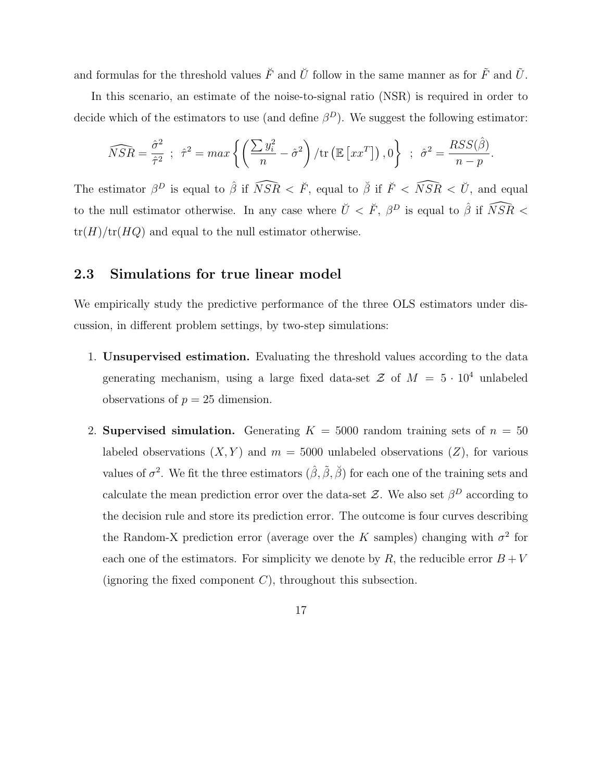and formulas for the threshold values  $\check{F}$  and  $\check{U}$  follow in the same manner as for  $\tilde{F}$  and  $\tilde{U}$ .

In this scenario, an estimate of the noise-to-signal ratio (NSR) is required in order to decide which of the estimators to use (and define  $\beta^D$ ). We suggest the following estimator:

$$
\widehat{NSR} = \frac{\hat{\sigma}^2}{\hat{\tau}^2} \; ; \; \; \hat{\tau}^2 = \max \left\{ \left( \frac{\sum y_i^2}{n} - \hat{\sigma}^2 \right) / \text{tr} \left( \mathbb{E} \left[ xx^T \right] \right), 0 \right\} \; ; \; \; \hat{\sigma}^2 = \frac{RSS(\hat{\beta})}{n - p}.
$$

The estimator  $\beta^D$  is equal to  $\hat{\beta}$  if  $\widehat{NSR} < \breve{F}$ , equal to  $\breve{\beta}$  if  $\breve{F} < \widehat{NSR} < \breve{U}$ , and equal to the null estimator otherwise. In any case where  $\check{U} < \check{F}$ ,  $\beta^D$  is equal to  $\hat{\beta}$  if  $\widehat{NSR}$  <  $tr(H)/tr(HQ)$  and equal to the null estimator otherwise.

#### <span id="page-16-0"></span>2.3 Simulations for true linear model

We empirically study the predictive performance of the three OLS estimators under discussion, in different problem settings, by two-step simulations:

- 1. Unsupervised estimation. Evaluating the threshold values according to the data generating mechanism, using a large fixed data-set  $\mathcal Z$  of  $M = 5 \cdot 10^4$  unlabeled observations of  $p = 25$  dimension.
- 2. Supervised simulation. Generating  $K = 5000$  random training sets of  $n = 50$ labeled observations  $(X, Y)$  and  $m = 5000$  unlabeled observations  $(Z)$ , for various values of  $\sigma^2$ . We fit the three estimators  $(\hat{\beta}, \tilde{\beta}, \tilde{\beta})$  for each one of the training sets and calculate the mean prediction error over the data-set  $\mathcal{Z}$ . We also set  $\beta^D$  according to the decision rule and store its prediction error. The outcome is four curves describing the Random-X prediction error (average over the K samples) changing with  $\sigma^2$  for each one of the estimators. For simplicity we denote by  $R$ , the reducible error  $B + V$ (ignoring the fixed component  $C$ ), throughout this subsection.
	- 17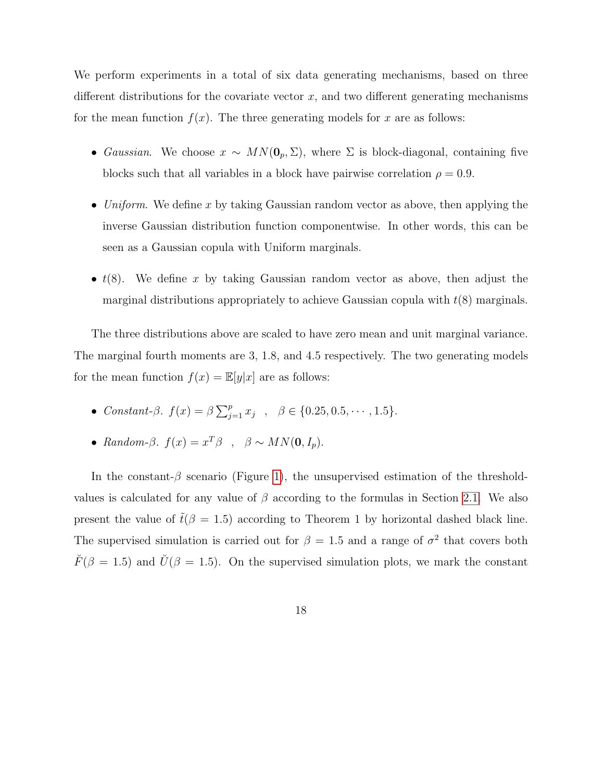We perform experiments in a total of six data generating mechanisms, based on three different distributions for the covariate vector  $x$ , and two different generating mechanisms for the mean function  $f(x)$ . The three generating models for x are as follows:

- Gaussian. We choose  $x \sim MN(\mathbf{0}_p, \Sigma)$ , where  $\Sigma$  is block-diagonal, containing five blocks such that all variables in a block have pairwise correlation  $\rho = 0.9$ .
- Uniform. We define x by taking Gaussian random vector as above, then applying the inverse Gaussian distribution function componentwise. In other words, this can be seen as a Gaussian copula with Uniform marginals.
- $t(8)$ . We define x by taking Gaussian random vector as above, then adjust the marginal distributions appropriately to achieve Gaussian copula with  $t(8)$  marginals.

The three distributions above are scaled to have zero mean and unit marginal variance. The marginal fourth moments are 3, 1.8, and 4.5 respectively. The two generating models for the mean function  $f(x) = \mathbb{E}[y|x]$  are as follows:

- Constant- $\beta$ .  $f(x) = \beta \sum_{j=1}^{p} x_j$ ,  $\beta \in \{0.25, 0.5, \dots, 1.5\}.$
- Random- $\beta$ .  $f(x) = x^T \beta$ ,  $\beta \sim MN(0, I_p)$ .

In the constant- $\beta$  scenario (Figure [1\)](#page-19-0), the unsupervised estimation of the thresholdvalues is calculated for any value of  $\beta$  according to the formulas in Section [2.1.](#page-8-0) We also present the value of  $\tilde{t}(\beta = 1.5)$  according to Theorem 1 by horizontal dashed black line. The supervised simulation is carried out for  $\beta = 1.5$  and a range of  $\sigma^2$  that covers both  $\breve{F}(\beta = 1.5)$  and  $\breve{U}(\beta = 1.5)$ . On the supervised simulation plots, we mark the constant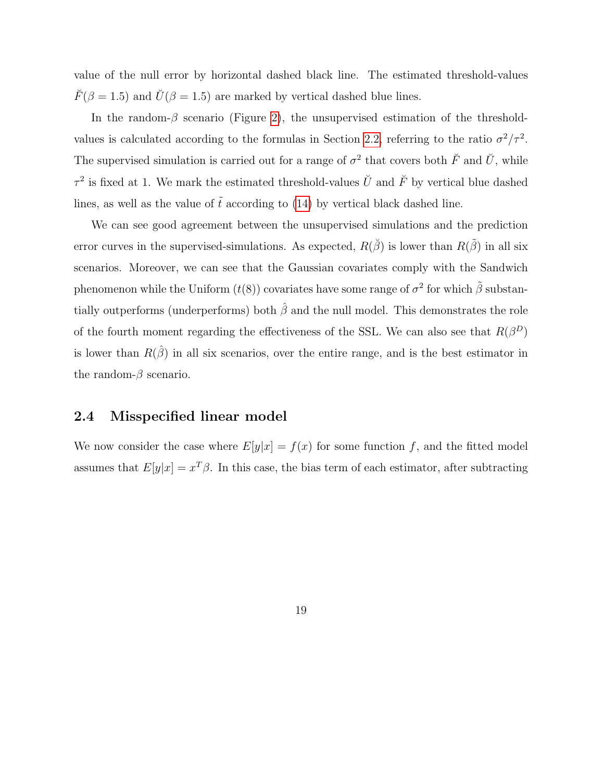value of the null error by horizontal dashed black line. The estimated threshold-values  $\check{F}(\beta = 1.5)$  and  $\check{U}(\beta = 1.5)$  are marked by vertical dashed blue lines.

In the random- $\beta$  scenario (Figure [2\)](#page-20-0), the unsupervised estimation of the threshold-values is calculated according to the formulas in Section [2.2,](#page-14-0) referring to the ratio  $\sigma^2/\tau^2$ . The supervised simulation is carried out for a range of  $\sigma^2$  that covers both  $\check{F}$  and  $\check{U}$ , while  $\tau^2$  is fixed at 1. We mark the estimated threshold-values  $\check{U}$  and  $\check{F}$  by vertical blue dashed lines, as well as the value of  $\tilde{t}$  according to [\(14\)](#page-15-0) by vertical black dashed line.

We can see good agreement between the unsupervised simulations and the prediction error curves in the supervised-simulations. As expected,  $R(\check{\beta})$  is lower than  $R(\tilde{\beta})$  in all six scenarios. Moreover, we can see that the Gaussian covariates comply with the Sandwich phenomenon while the Uniform  $(t(8))$  covariates have some range of  $\sigma^2$  for which  $\tilde{\beta}$  substantially outperforms (underperforms) both  $\hat{\beta}$  and the null model. This demonstrates the role of the fourth moment regarding the effectiveness of the SSL. We can also see that  $R(\beta^D)$ is lower than  $R(\hat{\beta})$  in all six scenarios, over the entire range, and is the best estimator in the random- $\beta$  scenario.

#### <span id="page-18-0"></span>2.4 Misspecified linear model

We now consider the case where  $E[y|x] = f(x)$  for some function f, and the fitted model assumes that  $E[y|x] = x^T \beta$ . In this case, the bias term of each estimator, after subtracting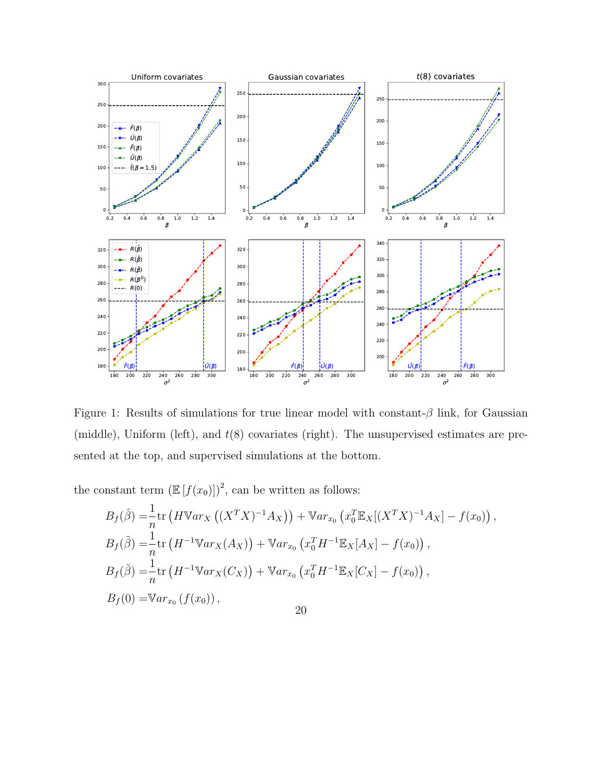<span id="page-19-0"></span>

Figure 1: Results of simulations for true linear model with constant- $\beta$  link, for Gaussian (middle), Uniform (left), and  $t(8)$  covariates (right). The unsupervised estimates are presented at the top, and supervised simulations at the bottom.

the constant term  $\left(\mathbb{E}\left[f(x_0)\right]\right)^2$ , can be written as follows:

$$
B_f(\hat{\beta}) = \frac{1}{n} \text{tr} \left( H \mathbb{V}ar_X \left( (X^T X)^{-1} A_X \right) \right) + \mathbb{V}ar_{x_0} \left( x_0^T \mathbb{E}_X [(X^T X)^{-1} A_X] - f(x_0) \right),
$$
  
\n
$$
B_f(\tilde{\beta}) = \frac{1}{n} \text{tr} \left( H^{-1} \mathbb{V}ar_X(A_X) \right) + \mathbb{V}ar_{x_0} \left( x_0^T H^{-1} \mathbb{E}_X [A_X] - f(x_0) \right),
$$
  
\n
$$
B_f(\tilde{\beta}) = \frac{1}{n} \text{tr} \left( H^{-1} \mathbb{V}ar_X(C_X) \right) + \mathbb{V}ar_{x_0} \left( x_0^T H^{-1} \mathbb{E}_X [C_X] - f(x_0) \right),
$$
  
\n
$$
B_f(0) = \mathbb{V}ar_{x_0} \left( f(x_0) \right),
$$
  
\n20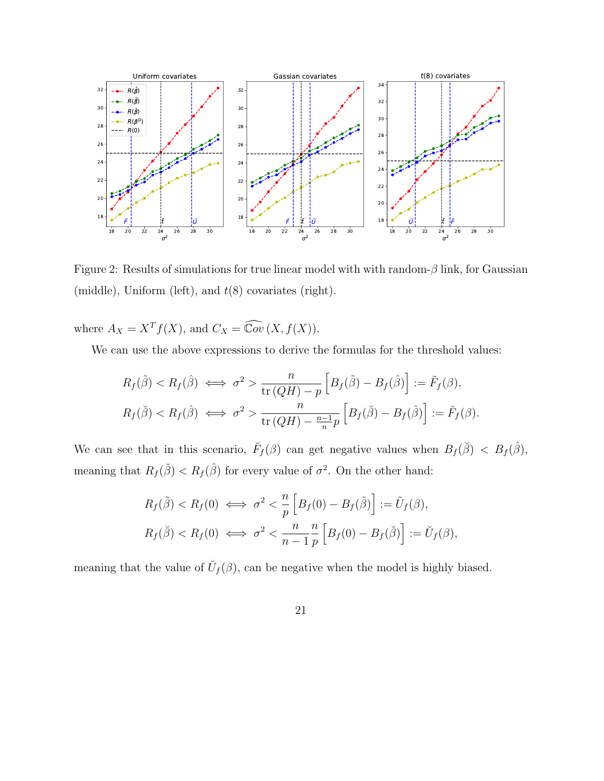<span id="page-20-0"></span>

Figure 2: Results of simulations for true linear model with with random- $\beta$  link, for Gaussian (middle), Uniform (left), and  $t(8)$  covariates (right).

where  $A_X = X^T f(X)$ , and  $C_X = \widehat{\mathbb{C}ov}(X, f(X))$ .

We can use the above expressions to derive the formulas for the threshold values:

$$
R_f(\tilde{\beta}) < R_f(\hat{\beta}) \iff \sigma^2 > \frac{n}{\text{tr}\left(QH\right) - p} \left[ B_f(\tilde{\beta}) - B_f(\hat{\beta}) \right] := \tilde{F}_f(\beta),
$$
\n
$$
R_f(\tilde{\beta}) < R_f(\hat{\beta}) \iff \sigma^2 > \frac{n}{\text{tr}\left(QH\right) - \frac{n-1}{n}p} \left[ B_f(\tilde{\beta}) - B_f(\hat{\beta}) \right] := \breve{F}_f(\beta).
$$

We can see that in this scenario,  $\breve{F}_f(\beta)$  can get negative values when  $B_f(\breve{\beta}) < B_f(\hat{\beta})$ , meaning that  $R_f(\check{\beta}) < R_f(\hat{\beta})$  for every value of  $\sigma^2$ . On the other hand:

$$
R_f(\tilde{\beta}) < R_f(0) \iff \sigma^2 < \frac{n}{p} \left[ B_f(0) - B_f(\tilde{\beta}) \right] := \tilde{U}_f(\beta),
$$
\n
$$
R_f(\tilde{\beta}) < R_f(0) \iff \sigma^2 < \frac{n}{n-1} \frac{n}{p} \left[ B_f(0) - B_f(\tilde{\beta}) \right] := \breve{U}_f(\beta),
$$

meaning that the value of  $\check{U}_f(\beta)$ , can be negative when the model is highly biased.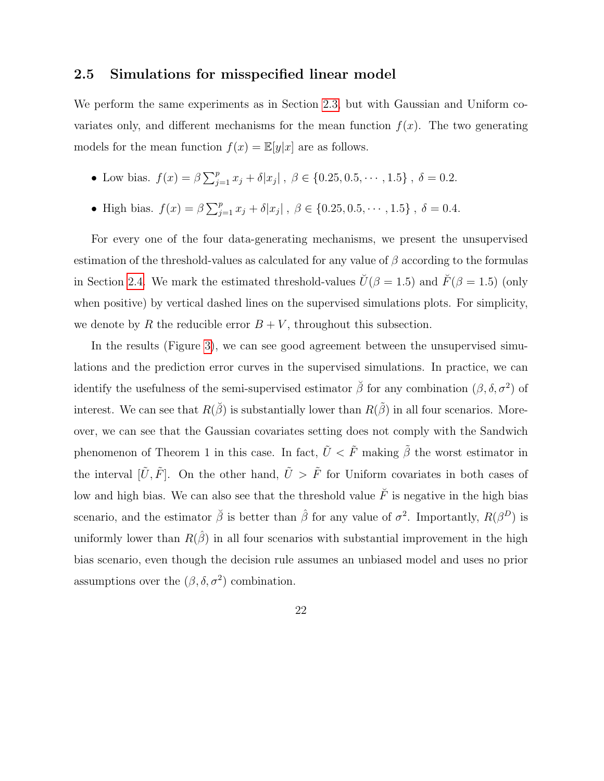#### <span id="page-21-0"></span>2.5 Simulations for misspecified linear model

We perform the same experiments as in Section [2.3,](#page-16-0) but with Gaussian and Uniform covariates only, and different mechanisms for the mean function  $f(x)$ . The two generating models for the mean function  $f(x) = \mathbb{E}[y|x]$  are as follows.

- Low bias.  $f(x) = \beta \sum_{j=1}^{p} x_j + \delta |x_j|$ ,  $\beta \in \{0.25, 0.5, \dots, 1.5\}$ ,  $\delta = 0.2$ .
- High bias.  $f(x) = \beta \sum_{j=1}^{p} x_j + \delta |x_j|$ ,  $\beta \in \{0.25, 0.5, \dots, 1.5\}$ ,  $\delta = 0.4$ .

For every one of the four data-generating mechanisms, we present the unsupervised estimation of the threshold-values as calculated for any value of  $\beta$  according to the formulas in Section [2.4.](#page-18-0) We mark the estimated threshold-values  $\check{U}(\beta = 1.5)$  and  $\check{F}(\beta = 1.5)$  (only when positive) by vertical dashed lines on the supervised simulations plots. For simplicity, we denote by R the reducible error  $B + V$ , throughout this subsection.

In the results (Figure [3\)](#page-22-1), we can see good agreement between the unsupervised simulations and the prediction error curves in the supervised simulations. In practice, we can identify the usefulness of the semi-supervised estimator  $\check{\beta}$  for any combination  $(\beta, \delta, \sigma^2)$  of interest. We can see that  $R(\check{\beta})$  is substantially lower than  $R(\check{\beta})$  in all four scenarios. Moreover, we can see that the Gaussian covariates setting does not comply with the Sandwich phenomenon of Theorem 1 in this case. In fact,  $\tilde{U} < \tilde{F}$  making  $\tilde{\beta}$  the worst estimator in the interval  $[\tilde{U}, \tilde{F}]$ . On the other hand,  $\tilde{U} > \tilde{F}$  for Uniform covariates in both cases of low and high bias. We can also see that the threshold value  $\check{F}$  is negative in the high bias scenario, and the estimator  $\check{\beta}$  is better than  $\hat{\beta}$  for any value of  $\sigma^2$ . Importantly,  $R(\beta^D)$  is uniformly lower than  $R(\hat{\beta})$  in all four scenarios with substantial improvement in the high bias scenario, even though the decision rule assumes an unbiased model and uses no prior assumptions over the  $(\beta, \delta, \sigma^2)$  combination.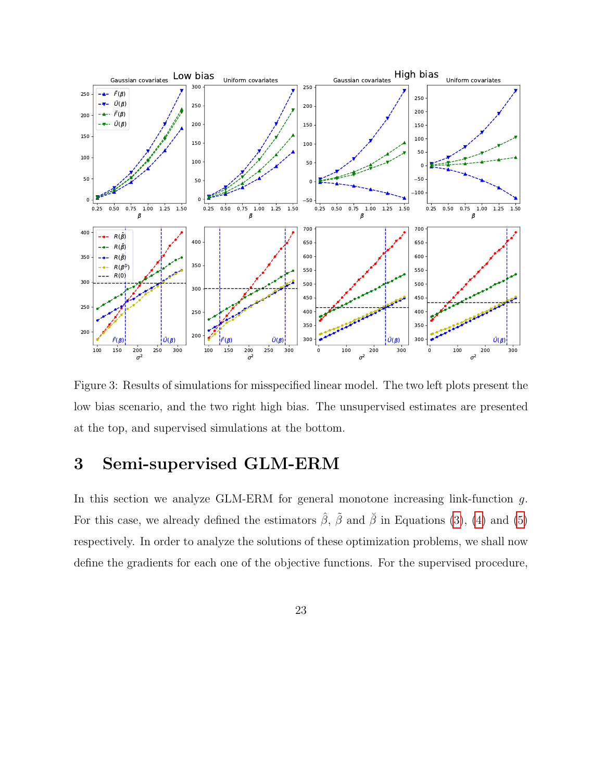<span id="page-22-1"></span>

Figure 3: Results of simulations for misspecified linear model. The two left plots present the low bias scenario, and the two right high bias. The unsupervised estimates are presented at the top, and supervised simulations at the bottom.

# <span id="page-22-0"></span>3 Semi-supervised GLM-ERM

In this section we analyze GLM-ERM for general monotone increasing link-function g. For this case, we already defined the estimators  $\hat{\beta}$ ,  $\tilde{\beta}$  and  $\tilde{\beta}$  in Equations [\(3\)](#page-5-0), [\(4\)](#page-5-1) and [\(5\)](#page-5-2) respectively. In order to analyze the solutions of these optimization problems, we shall now define the gradients for each one of the objective functions. For the supervised procedure,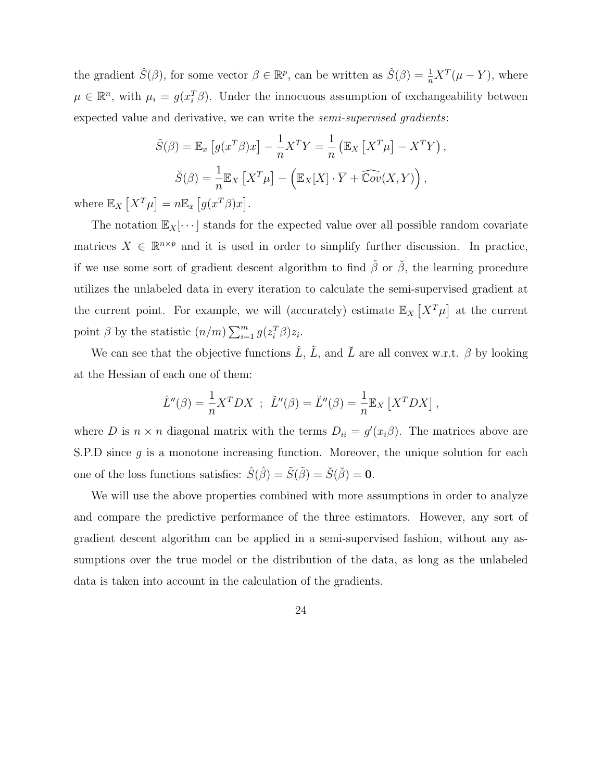the gradient  $\hat{S}(\beta)$ , for some vector  $\beta \in \mathbb{R}^p$ , can be written as  $\hat{S}(\beta) = \frac{1}{n}X^T(\mu - Y)$ , where  $\mu \in \mathbb{R}^n$ , with  $\mu_i = g(x_i^T \beta)$ . Under the innocuous assumption of exchangeability between expected value and derivative, we can write the semi-supervised gradients:

$$
\tilde{S}(\beta) = \mathbb{E}_x \left[ g(x^T \beta) x \right] - \frac{1}{n} X^T Y = \frac{1}{n} \left( \mathbb{E}_X \left[ X^T \mu \right] - X^T Y \right),
$$

$$
\check{S}(\beta) = \frac{1}{n} \mathbb{E}_X \left[ X^T \mu \right] - \left( \mathbb{E}_X [X] \cdot \overline{Y} + \widehat{\text{Cov}}(X, Y) \right),
$$

where  $\mathbb{E}_X \left[ X^T \mu \right] = n \mathbb{E}_x \left[ g(x^T \beta) x \right]$ .

The notation  $\mathbb{E}_X[\cdots]$  stands for the expected value over all possible random covariate matrices  $X \in \mathbb{R}^{n \times p}$  and it is used in order to simplify further discussion. In practice, if we use some sort of gradient descent algorithm to find  $\tilde{\beta}$  or  $\tilde{\beta}$ , the learning procedure utilizes the unlabeled data in every iteration to calculate the semi-supervised gradient at the current point. For example, we will (accurately) estimate  $\mathbb{E}_X[X^T\mu]$  at the current point  $\beta$  by the statistic  $(n/m) \sum_{i=1}^{m} g(z_i^T \beta) z_i$ .

We can see that the objective functions  $\hat{L}$ ,  $\tilde{L}$ , and  $\tilde{L}$  are all convex w.r.t.  $\beta$  by looking at the Hessian of each one of them:

$$
\hat{L}''(\beta) = \frac{1}{n} X^T D X \; ; \; \tilde{L}''(\beta) = \check{L}''(\beta) = \frac{1}{n} \mathbb{E}_X \left[ X^T D X \right],
$$

where D is  $n \times n$  diagonal matrix with the terms  $D_{ii} = g'(x_i \beta)$ . The matrices above are S.P.D since  $q$  is a monotone increasing function. Moreover, the unique solution for each one of the loss functions satisfies:  $\hat{S}(\hat{\beta}) = \tilde{S}(\tilde{\beta}) = \check{S}(\tilde{\beta}) = 0$ .

We will use the above properties combined with more assumptions in order to analyze and compare the predictive performance of the three estimators. However, any sort of gradient descent algorithm can be applied in a semi-supervised fashion, without any assumptions over the true model or the distribution of the data, as long as the unlabeled data is taken into account in the calculation of the gradients.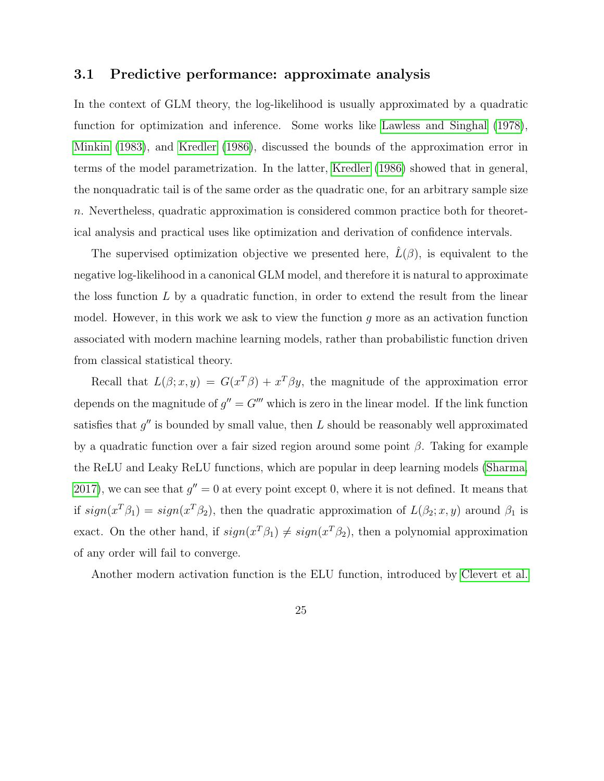## <span id="page-24-0"></span>3.1 Predictive performance: approximate analysis

In the context of GLM theory, the log-likelihood is usually approximated by a quadratic function for optimization and inference. Some works like [Lawless and Singhal](#page-34-5) [\(1978\)](#page-34-5), [Minkin](#page-34-6) [\(1983\)](#page-34-6), and [Kredler](#page-34-7) [\(1986\)](#page-34-7), discussed the bounds of the approximation error in terms of the model parametrization. In the latter, [Kredler](#page-34-7) [\(1986\)](#page-34-7) showed that in general, the nonquadratic tail is of the same order as the quadratic one, for an arbitrary sample size n. Nevertheless, quadratic approximation is considered common practice both for theoretical analysis and practical uses like optimization and derivation of confidence intervals.

The supervised optimization objective we presented here,  $L(\beta)$ , is equivalent to the negative log-likelihood in a canonical GLM model, and therefore it is natural to approximate the loss function  $L$  by a quadratic function, in order to extend the result from the linear model. However, in this work we ask to view the function  $g$  more as an activation function associated with modern machine learning models, rather than probabilistic function driven from classical statistical theory.

Recall that  $L(\beta; x, y) = G(x^T\beta) + x^T\beta y$ , the magnitude of the approximation error depends on the magnitude of  $g'' = G''$  which is zero in the linear model. If the link function satisfies that  $g''$  is bounded by small value, then L should be reasonably well approximated by a quadratic function over a fair sized region around some point  $\beta$ . Taking for example the ReLU and Leaky ReLU functions, which are popular in deep learning models [\(Sharma,](#page-34-8) [2017\)](#page-34-8), we can see that  $g'' = 0$  at every point except 0, where it is not defined. It means that if  $sign(x^T\beta_1) = sign(x^T\beta_2)$ , then the quadratic approximation of  $L(\beta_2; x, y)$  around  $\beta_1$  is exact. On the other hand, if  $sign(x^T \beta_1) \neq sign(x^T \beta_2)$ , then a polynomial approximation of any order will fail to converge.

Another modern activation function is the ELU function, introduced by [Clevert et al.](#page-33-8)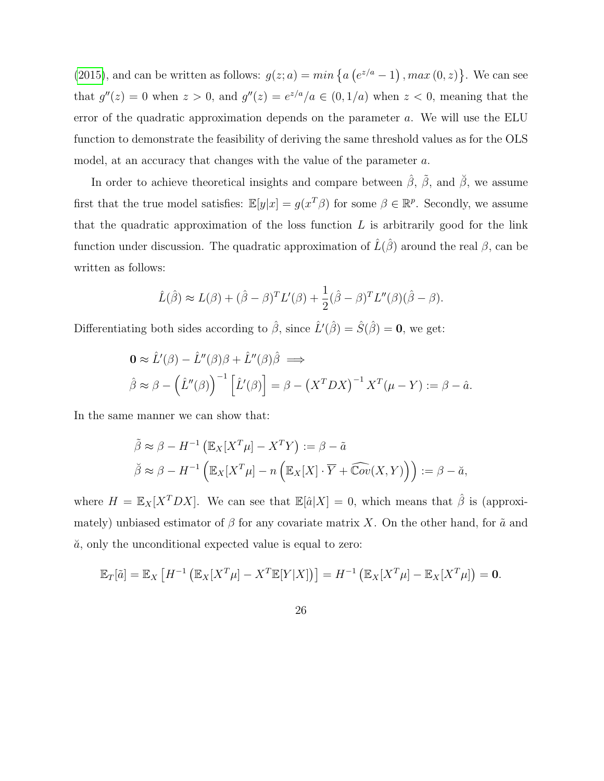[\(2015\)](#page-33-8), and can be written as follows:  $g(z; a) = min \{a(e^{z/a} - 1), max(0, z)\}\)$ . We can see that  $g''(z) = 0$  when  $z > 0$ , and  $g''(z) = e^{z/a}/a \in (0, 1/a)$  when  $z < 0$ , meaning that the error of the quadratic approximation depends on the parameter a. We will use the ELU function to demonstrate the feasibility of deriving the same threshold values as for the OLS model, at an accuracy that changes with the value of the parameter a.

In order to achieve theoretical insights and compare between  $\hat{\beta}$ ,  $\tilde{\beta}$ , and  $\tilde{\beta}$ , we assume first that the true model satisfies:  $\mathbb{E}[y|x] = g(x^T\beta)$  for some  $\beta \in \mathbb{R}^p$ . Secondly, we assume that the quadratic approximation of the loss function  $L$  is arbitrarily good for the link function under discussion. The quadratic approximation of  $\hat{L}(\hat{\beta})$  around the real  $\beta$ , can be written as follows:

$$
\hat{L}(\hat{\beta}) \approx L(\beta) + (\hat{\beta} - \beta)^T L'(\beta) + \frac{1}{2}(\hat{\beta} - \beta)^T L''(\beta)(\hat{\beta} - \beta).
$$

Differentiating both sides according to  $\hat{\beta}$ , since  $\hat{L}'(\hat{\beta}) = \hat{S}(\hat{\beta}) = 0$ , we get:

$$
\mathbf{0} \approx \hat{L}'(\beta) - \hat{L}''(\beta)\beta + \hat{L}''(\beta)\hat{\beta} \implies
$$
  

$$
\hat{\beta} \approx \beta - (\hat{L}''(\beta))^{-1} [\hat{L}'(\beta)] = \beta - (X^TDX)^{-1} X^T(\mu - Y) := \beta - \hat{a}.
$$

In the same manner we can show that:

$$
\tilde{\beta} \approx \beta - H^{-1} \left( \mathbb{E}_X [X^T \mu] - X^T Y \right) := \beta - \tilde{a}
$$
  

$$
\tilde{\beta} \approx \beta - H^{-1} \left( \mathbb{E}_X [X^T \mu] - n \left( \mathbb{E}_X [X] \cdot \overline{Y} + \widehat{\mathbb{C}ov}(X, Y) \right) \right) := \beta - \breve{a},
$$

where  $H = \mathbb{E}_X[X^TDX]$ . We can see that  $\mathbb{E}[\hat{a}|X] = 0$ , which means that  $\hat{\beta}$  is (approximately) unbiased estimator of  $\beta$  for any covariate matrix X. On the other hand, for  $\tilde{a}$  and  $\check{a}$ , only the unconditional expected value is equal to zero:

$$
\mathbb{E}_T[\tilde{a}] = \mathbb{E}_X \left[ H^{-1} \left( \mathbb{E}_X[X^T \mu] - X^T \mathbb{E}[Y|X] \right) \right] = H^{-1} \left( \mathbb{E}_X[X^T \mu] - \mathbb{E}_X[X^T \mu] \right) = \mathbf{0}.
$$

26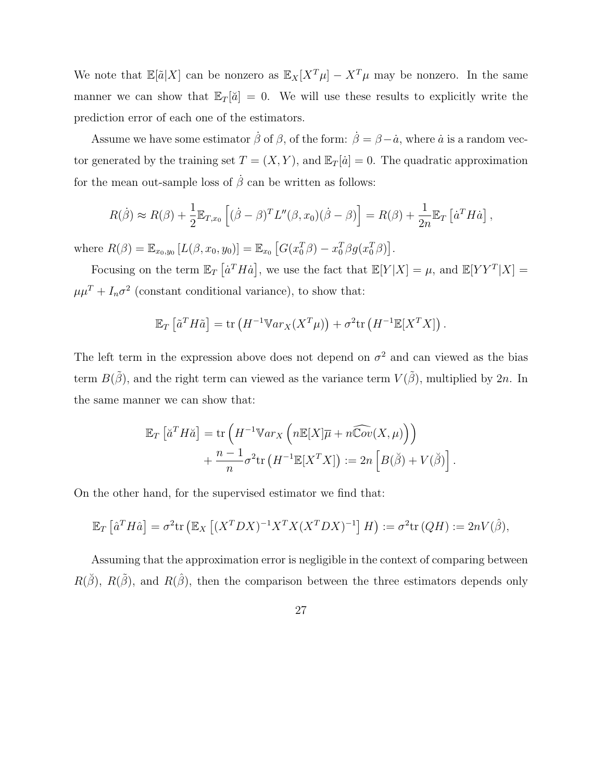We note that  $\mathbb{E}[\tilde{a}|X]$  can be nonzero as  $\mathbb{E}_X[X^T\mu] - X^T\mu$  may be nonzero. In the same manner we can show that  $\mathbb{E}_T[\check{a}] = 0$ . We will use these results to explicitly write the prediction error of each one of the estimators.

Assume we have some estimator  $\dot{\beta}$  of  $\beta$ , of the form:  $\dot{\beta} = \beta - \dot{a}$ , where  $\dot{a}$  is a random vector generated by the training set  $T = (X, Y)$ , and  $\mathbb{E}_T[i] = 0$ . The quadratic approximation for the mean out-sample loss of  $\dot{\beta}$  can be written as follows:

$$
R(\dot{\beta}) \approx R(\beta) + \frac{1}{2} \mathbb{E}_{T,x_0} \left[ (\dot{\beta} - \beta)^T L''(\beta, x_0) (\dot{\beta} - \beta) \right] = R(\beta) + \frac{1}{2n} \mathbb{E}_T \left[ \dot{a}^T H \dot{a} \right],
$$

where  $R(\beta) = \mathbb{E}_{x_0, y_0} [L(\beta, x_0, y_0)] = \mathbb{E}_{x_0} [G(x_0^T \beta) - x_0^T \beta g(x_0^T \beta)].$ 

Focusing on the term  $\mathbb{E}_T \left[ \dot{a}^T H \dot{a} \right]$ , we use the fact that  $\mathbb{E}[Y|X] = \mu$ , and  $\mathbb{E}[YY^T|X] =$  $\mu\mu^{T}+I_{n}\sigma^{2}$  (constant conditional variance), to show that:

$$
\mathbb{E}_T\left[\tilde{a}^T H \tilde{a}\right] = \text{tr}\left(H^{-1} \mathbb{V}ar_X(X^T \mu)\right) + \sigma^2 \text{tr}\left(H^{-1} \mathbb{E}[X^T X]\right).
$$

The left term in the expression above does not depend on  $\sigma^2$  and can viewed as the bias term  $B(\tilde{\beta})$ , and the right term can viewed as the variance term  $V(\tilde{\beta})$ , multiplied by 2n. In the same manner we can show that:

$$
\mathbb{E}_T \left[ \check{a}^T H \check{a} \right] = \text{tr} \left( H^{-1} \mathbb{V} a r_X \left( n \mathbb{E}[X] \overline{\mu} + n \widehat{\mathbb{C}ov}(X, \mu) \right) \right) + \frac{n-1}{n} \sigma^2 \text{tr} \left( H^{-1} \mathbb{E}[X^T X] \right) := 2n \left[ B(\check{\beta}) + V(\check{\beta}) \right].
$$

On the other hand, for the supervised estimator we find that:

$$
\mathbb{E}_T\left[\hat{a}^T H \hat{a}\right] = \sigma^2 \text{tr}\left(\mathbb{E}_X\left[(X^T DX)^{-1} X^T X (X^T DX)^{-1}\right]H\right) := \sigma^2 \text{tr}\left(QH\right) := 2nV(\hat{\beta}),
$$

Assuming that the approximation error is negligible in the context of comparing between  $R(\check{\beta})$ ,  $R(\check{\beta})$ , and  $R(\hat{\beta})$ , then the comparison between the three estimators depends only

27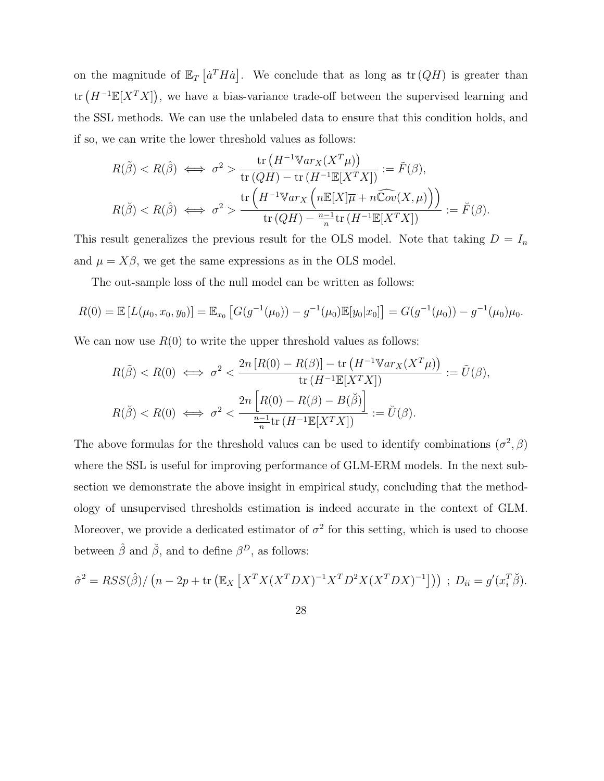on the magnitude of  $\mathbb{E}_T \left[ a^T H \dot{a} \right]$ . We conclude that as long as  $\text{tr} (QH)$  is greater than tr  $(H^{-1}\mathbb{E}[X^TX])$ , we have a bias-variance trade-off between the supervised learning and the SSL methods. We can use the unlabeled data to ensure that this condition holds, and if so, we can write the lower threshold values as follows:

$$
R(\tilde{\beta}) < R(\hat{\beta}) \iff \sigma^2 > \frac{\text{tr}\left(H^{-1} \mathbb{V}ar_X(X^T\mu)\right)}{\text{tr}\left(QH\right) - \text{tr}\left(H^{-1}\mathbb{E}[X^TX]\right)} := \tilde{F}(\beta),
$$
\n
$$
R(\tilde{\beta}) < R(\hat{\beta}) \iff \sigma^2 > \frac{\text{tr}\left(H^{-1} \mathbb{V}ar_X\left(n\mathbb{E}[X]\overline{\mu} + n\widehat{\mathbb{C}ov}(X,\mu)\right)\right)}{\text{tr}\left(QH\right) - \frac{n-1}{n}\text{tr}\left(H^{-1}\mathbb{E}[X^TX]\right)} := \breve{F}(\beta).
$$

This result generalizes the previous result for the OLS model. Note that taking  $D = I_n$ and  $\mu = X\beta$ , we get the same expressions as in the OLS model.

The out-sample loss of the null model can be written as follows:

$$
R(0) = \mathbb{E}\left[L(\mu_0, x_0, y_0)\right] = \mathbb{E}_{x_0}\left[G(g^{-1}(\mu_0)) - g^{-1}(\mu_0)\mathbb{E}[y_0|x_0]\right] = G(g^{-1}(\mu_0)) - g^{-1}(\mu_0)\mu_0.
$$

We can now use  $R(0)$  to write the upper threshold values as follows:

$$
R(\tilde{\beta}) < R(0) \iff \sigma^2 < \frac{2n \left[ R(0) - R(\beta) \right] - \text{tr} \left( H^{-1} \mathbb{V} a r_X(X^T \mu) \right)}{\text{tr} \left( H^{-1} \mathbb{E}[X^T X] \right)} := \tilde{U}(\beta),
$$
\n
$$
R(\check{\beta}) < R(0) \iff \sigma^2 < \frac{2n \left[ R(0) - R(\beta) - B(\check{\beta}) \right]}{\frac{n-1}{n} \text{tr} \left( H^{-1} \mathbb{E}[X^T X] \right)} := \check{U}(\beta).
$$

The above formulas for the threshold values can be used to identify combinations  $(\sigma^2, \beta)$ where the SSL is useful for improving performance of GLM-ERM models. In the next subsection we demonstrate the above insight in empirical study, concluding that the methodology of unsupervised thresholds estimation is indeed accurate in the context of GLM. Moreover, we provide a dedicated estimator of  $\sigma^2$  for this setting, which is used to choose between  $\hat{\beta}$  and  $\check{\beta}$ , and to define  $\beta^D$ , as follows:

$$
\hat{\sigma}^2 = RSS(\hat{\beta}) / (n - 2p + \text{tr}\left(\mathbb{E}_X \left[ X^T X (X^T D X)^{-1} X^T D^2 X (X^T D X)^{-1} \right] \right)) ; D_{ii} = g'(x_i^T \check{\beta}).
$$

28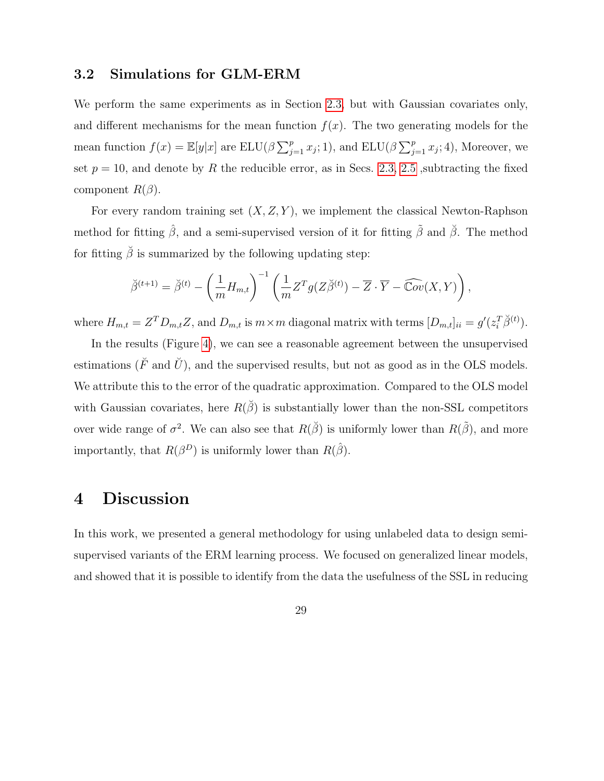#### <span id="page-28-0"></span>3.2 Simulations for GLM-ERM

We perform the same experiments as in Section [2.3,](#page-16-0) but with Gaussian covariates only, and different mechanisms for the mean function  $f(x)$ . The two generating models for the mean function  $f(x) = \mathbb{E}[y|x]$  are  $\text{ELU}(\beta \sum_{j=1}^p x_j; 1)$ , and  $\text{ELU}(\beta \sum_{j=1}^p x_j; 4)$ , Moreover, we set  $p = 10$ , and denote by R the reducible error, as in Secs. [2.3,](#page-16-0) [2.5](#page-21-0) , subtracting the fixed component  $R(\beta)$ .

For every random training set  $(X, Z, Y)$ , we implement the classical Newton-Raphson method for fitting  $\hat{\beta}$ , and a semi-supervised version of it for fitting  $\tilde{\beta}$  and  $\tilde{\beta}$ . The method for fitting  $\check{\beta}$  is summarized by the following updating step:

$$
\breve{\beta}^{(t+1)} = \breve{\beta}^{(t)} - \left(\frac{1}{m}H_{m,t}\right)^{-1} \left(\frac{1}{m}Z^{T}g(Z\breve{\beta}^{(t)}) - \overline{Z} \cdot \overline{Y} - \widehat{\mathbb{C}ov}(X,Y)\right),
$$

where  $H_{m,t} = Z^T D_{m,t} Z$ , and  $D_{m,t}$  is  $m \times m$  diagonal matrix with terms  $[D_{m,t}]_{ii} = g'(z_i^T \breve{\beta}^{(t)})$ .

In the results (Figure [4\)](#page-29-0), we can see a reasonable agreement between the unsupervised estimations ( $\breve{F}$  and  $\breve{U}$ ), and the supervised results, but not as good as in the OLS models. We attribute this to the error of the quadratic approximation. Compared to the OLS model with Gaussian covariates, here  $R(\check{\beta})$  is substantially lower than the non-SSL competitors over wide range of  $\sigma^2$ . We can also see that  $R(\check{\beta})$  is uniformly lower than  $R(\tilde{\beta})$ , and more importantly, that  $R(\beta^D)$  is uniformly lower than  $R(\hat{\beta})$ .

## <span id="page-28-1"></span>4 Discussion

In this work, we presented a general methodology for using unlabeled data to design semisupervised variants of the ERM learning process. We focused on generalized linear models, and showed that it is possible to identify from the data the usefulness of the SSL in reducing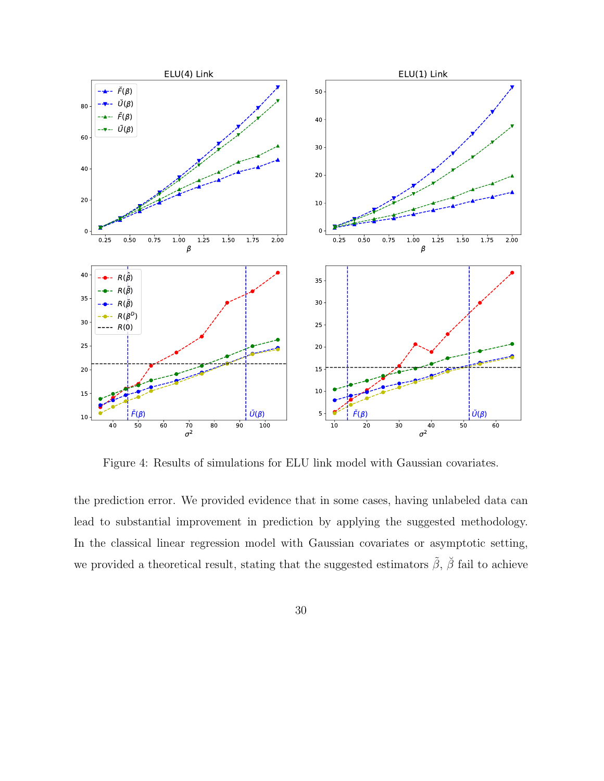<span id="page-29-0"></span>

Figure 4: Results of simulations for ELU link model with Gaussian covariates.

the prediction error. We provided evidence that in some cases, having unlabeled data can lead to substantial improvement in prediction by applying the suggested methodology. In the classical linear regression model with Gaussian covariates or asymptotic setting, we provided a theoretical result, stating that the suggested estimators  $\tilde{\beta}$ ,  $\tilde{\beta}$  fail to achieve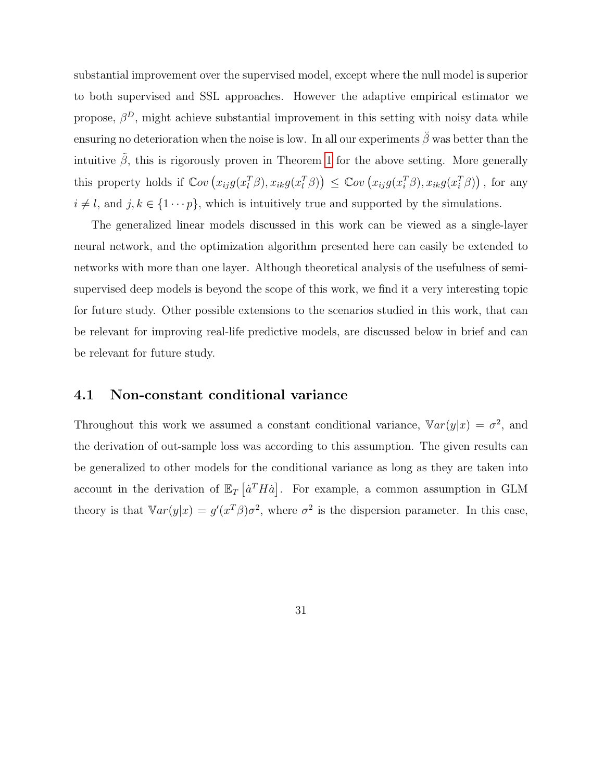substantial improvement over the supervised model, except where the null model is superior to both supervised and SSL approaches. However the adaptive empirical estimator we propose,  $\beta^D$ , might achieve substantial improvement in this setting with noisy data while ensuring no deterioration when the noise is low. In all our experiments  $\check{\beta}$  was better than the intuitive  $\tilde{\beta}$ , this is rigorously proven in Theorem [1](#page-11-0) for the above setting. More generally this property holds if  $\mathbb{C}ov(x_{ij}g(x_i^T\beta), x_{ik}g(x_i^T\beta)) \leq \mathbb{C}ov(x_{ij}g(x_i^T\beta), x_{ik}g(x_i^T\beta))$ , for any  $i \neq l$ , and  $j, k \in \{1 \cdots p\}$ , which is intuitively true and supported by the simulations.

The generalized linear models discussed in this work can be viewed as a single-layer neural network, and the optimization algorithm presented here can easily be extended to networks with more than one layer. Although theoretical analysis of the usefulness of semisupervised deep models is beyond the scope of this work, we find it a very interesting topic for future study. Other possible extensions to the scenarios studied in this work, that can be relevant for improving real-life predictive models, are discussed below in brief and can be relevant for future study.

### 4.1 Non-constant conditional variance

Throughout this work we assumed a constant conditional variance,  $\mathbb{V}ar(y|x) = \sigma^2$ , and the derivation of out-sample loss was according to this assumption. The given results can be generalized to other models for the conditional variance as long as they are taken into account in the derivation of  $\mathbb{E}_T \left[ \dot{a}^T H \dot{a} \right]$ . For example, a common assumption in GLM theory is that  $\mathbb{V}ar(y|x) = g'(x^T\beta)\sigma^2$ , where  $\sigma^2$  is the dispersion parameter. In this case,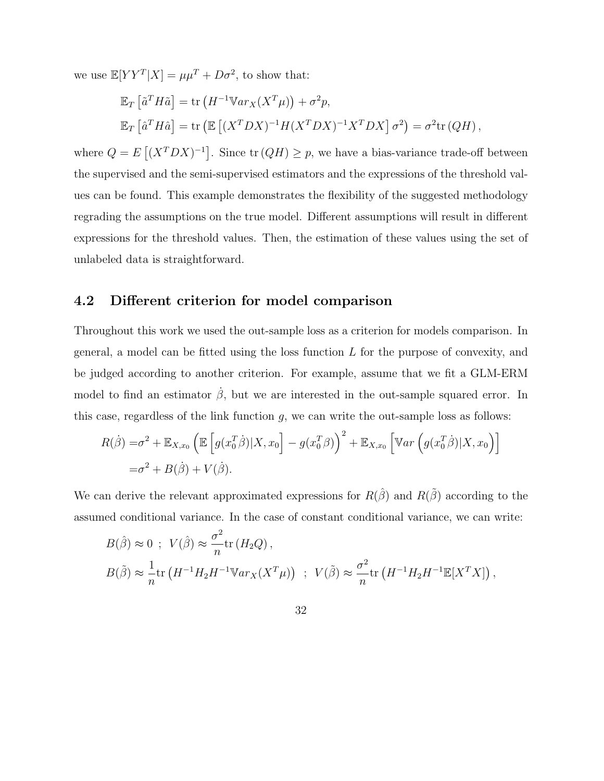we use  $\mathbb{E}[YY^T|X] = \mu\mu^T + D\sigma^2$ , to show that:

$$
\mathbb{E}_T \left[ \tilde{a}^T H \tilde{a} \right] = \text{tr} \left( H^{-1} \mathbb{V} a r_X(X^T \mu) \right) + \sigma^2 p,
$$
  

$$
\mathbb{E}_T \left[ \hat{a}^T H \hat{a} \right] = \text{tr} \left( \mathbb{E} \left[ (X^T D X)^{-1} H (X^T D X)^{-1} X^T D X \right] \sigma^2 \right) = \sigma^2 \text{tr} \left( Q H \right),
$$

where  $Q = E[(X^TDX)^{-1}]$ . Since  $tr(QH) \geq p$ , we have a bias-variance trade-off between the supervised and the semi-supervised estimators and the expressions of the threshold values can be found. This example demonstrates the flexibility of the suggested methodology regrading the assumptions on the true model. Different assumptions will result in different expressions for the threshold values. Then, the estimation of these values using the set of unlabeled data is straightforward.

## 4.2 Different criterion for model comparison

Throughout this work we used the out-sample loss as a criterion for models comparison. In general, a model can be fitted using the loss function L for the purpose of convexity, and be judged according to another criterion. For example, assume that we fit a GLM-ERM model to find an estimator  $\dot{\beta}$ , but we are interested in the out-sample squared error. In this case, regardless of the link function  $g$ , we can write the out-sample loss as follows:

$$
R(\dot{\beta}) = \sigma^2 + \mathbb{E}_{X,x_0} \left( \mathbb{E} \left[ g(x_0^T \dot{\beta}) | X, x_0 \right] - g(x_0^T \beta) \right)^2 + \mathbb{E}_{X,x_0} \left[ \mathbb{V}ar \left( g(x_0^T \dot{\beta}) | X, x_0 \right) \right]
$$
  
=  $\sigma^2 + B(\dot{\beta}) + V(\dot{\beta}).$ 

We can derive the relevant approximated expressions for  $R(\hat{\beta})$  and  $R(\tilde{\beta})$  according to the assumed conditional variance. In the case of constant conditional variance, we can write:

$$
B(\hat{\beta}) \approx 0 \; ; \; V(\hat{\beta}) \approx \frac{\sigma^2}{n} \text{tr} (H_2 Q) \,,
$$
  

$$
B(\tilde{\beta}) \approx \frac{1}{n} \text{tr} (H^{-1} H_2 H^{-1} \mathbb{V} a r_X(X^T \mu)) \; ; \; V(\tilde{\beta}) \approx \frac{\sigma^2}{n} \text{tr} (H^{-1} H_2 H^{-1} \mathbb{E} [X^T X]) \,,
$$

32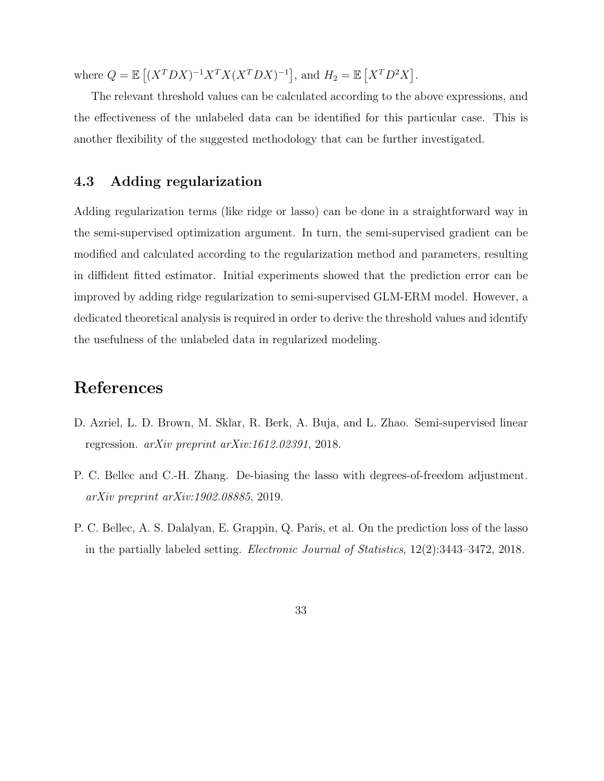where  $Q = \mathbb{E}[(X^TDX)^{-1}X^TX(X^TDX)^{-1}]$ , and  $H_2 = \mathbb{E}[X^TD^2X]$ .

The relevant threshold values can be calculated according to the above expressions, and the effectiveness of the unlabeled data can be identified for this particular case. This is another flexibility of the suggested methodology that can be further investigated.

### 4.3 Adding regularization

Adding regularization terms (like ridge or lasso) can be done in a straightforward way in the semi-supervised optimization argument. In turn, the semi-supervised gradient can be modified and calculated according to the regularization method and parameters, resulting in diffident fitted estimator. Initial experiments showed that the prediction error can be improved by adding ridge regularization to semi-supervised GLM-ERM model. However, a dedicated theoretical analysis is required in order to derive the threshold values and identify the usefulness of the unlabeled data in regularized modeling.

# References

- <span id="page-32-2"></span>D. Azriel, L. D. Brown, M. Sklar, R. Berk, A. Buja, and L. Zhao. Semi-supervised linear regression. arXiv preprint arXiv:1612.02391, 2018.
- <span id="page-32-0"></span>P. C. Bellec and C.-H. Zhang. De-biasing the lasso with degrees-of-freedom adjustment. arXiv preprint arXiv:1902.08885, 2019.
- <span id="page-32-1"></span>P. C. Bellec, A. S. Dalalyan, E. Grappin, Q. Paris, et al. On the prediction loss of the lasso in the partially labeled setting. Electronic Journal of Statistics, 12(2):3443–3472, 2018.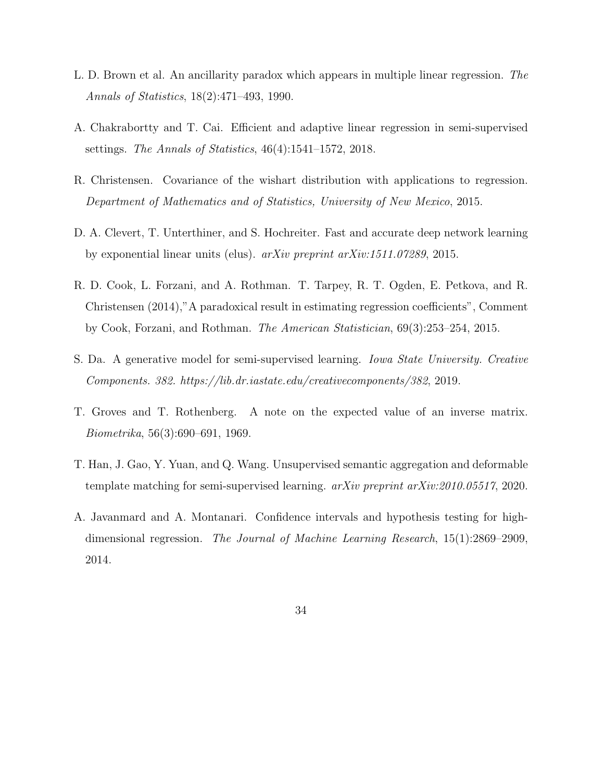- <span id="page-33-4"></span>L. D. Brown et al. An ancillarity paradox which appears in multiple linear regression. The Annals of Statistics, 18(2):471–493, 1990.
- <span id="page-33-3"></span>A. Chakrabortty and T. Cai. Efficient and adaptive linear regression in semi-supervised settings. The Annals of Statistics, 46(4):1541–1572, 2018.
- <span id="page-33-6"></span>R. Christensen. Covariance of the wishart distribution with applications to regression. Department of Mathematics and of Statistics, University of New Mexico, 2015.
- <span id="page-33-8"></span>D. A. Clevert, T. Unterthiner, and S. Hochreiter. Fast and accurate deep network learning by exponential linear units (elus). arXiv preprint arXiv:1511.07289, 2015.
- <span id="page-33-5"></span>R. D. Cook, L. Forzani, and A. Rothman. T. Tarpey, R. T. Ogden, E. Petkova, and R. Christensen (2014),"A paradoxical result in estimating regression coefficients", Comment by Cook, Forzani, and Rothman. The American Statistician, 69(3):253–254, 2015.
- <span id="page-33-0"></span>S. Da. A generative model for semi-supervised learning. Iowa State University. Creative Components. 382. https://lib.dr.iastate.edu/creativecomponents/382, 2019.
- <span id="page-33-7"></span>T. Groves and T. Rothenberg. A note on the expected value of an inverse matrix. Biometrika, 56(3):690–691, 1969.
- <span id="page-33-1"></span>T. Han, J. Gao, Y. Yuan, and Q. Wang. Unsupervised semantic aggregation and deformable template matching for semi-supervised learning. arXiv preprint arXiv:2010.05517, 2020.
- <span id="page-33-2"></span>A. Javanmard and A. Montanari. Confidence intervals and hypothesis testing for highdimensional regression. The Journal of Machine Learning Research, 15(1):2869–2909, 2014.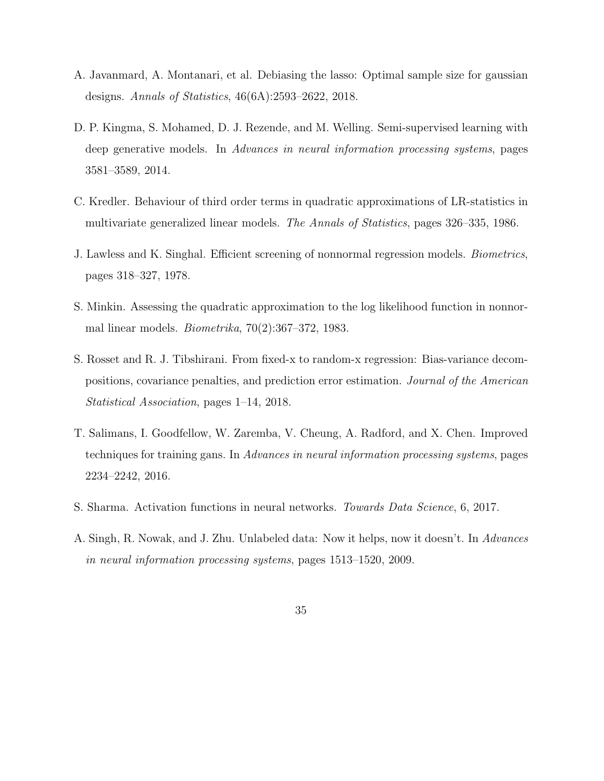- <span id="page-34-3"></span>A. Javanmard, A. Montanari, et al. Debiasing the lasso: Optimal sample size for gaussian designs. Annals of Statistics, 46(6A):2593–2622, 2018.
- <span id="page-34-1"></span>D. P. Kingma, S. Mohamed, D. J. Rezende, and M. Welling. Semi-supervised learning with deep generative models. In Advances in neural information processing systems, pages 3581–3589, 2014.
- <span id="page-34-7"></span>C. Kredler. Behaviour of third order terms in quadratic approximations of LR-statistics in multivariate generalized linear models. The Annals of Statistics, pages 326–335, 1986.
- <span id="page-34-5"></span>J. Lawless and K. Singhal. Efficient screening of nonnormal regression models. Biometrics, pages 318–327, 1978.
- <span id="page-34-6"></span>S. Minkin. Assessing the quadratic approximation to the log likelihood function in nonnormal linear models. *Biometrika*,  $70(2):367-372$ , 1983.
- <span id="page-34-4"></span>S. Rosset and R. J. Tibshirani. From fixed-x to random-x regression: Bias-variance decompositions, covariance penalties, and prediction error estimation. Journal of the American Statistical Association, pages 1–14, 2018.
- <span id="page-34-2"></span>T. Salimans, I. Goodfellow, W. Zaremba, V. Cheung, A. Radford, and X. Chen. Improved techniques for training gans. In Advances in neural information processing systems, pages 2234–2242, 2016.
- <span id="page-34-8"></span>S. Sharma. Activation functions in neural networks. Towards Data Science, 6, 2017.
- <span id="page-34-0"></span>A. Singh, R. Nowak, and J. Zhu. Unlabeled data: Now it helps, now it doesn't. In Advances in neural information processing systems, pages 1513–1520, 2009.